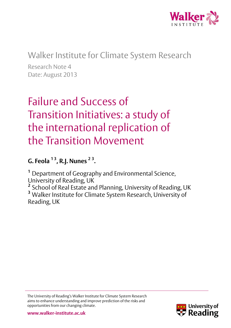

## Walker Institute for Climate System Research

Research Note 4 Date: August 2013

# Failure and Success of Transition Initiatives: a study of the international replication of the Transition Movement

## **G. Feola 1 3, R.J. Nunes <sup>2</sup> <sup>3</sup> .**

**<sup>1</sup>**Department of Geography and Environmental Science, University of Reading, UK

<sup>2</sup> School of Real Estate and Planning, University of Reading, UK **<sup>3</sup>** Walker Institute for Climate System Research, University of Reading, UK

The University of Reading's Walker Institute for Climate System Research aims to enhance understanding and improve prediction of the risks and opportunities from our changing climate.

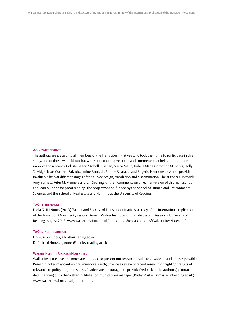#### **ACKNOWLEDGEMENTS**

The authors are grateful to all members of the Transition Initiatives who took their time to participate in this study, and to those who did not but who sent constructive critics and comments that helped the authors improve the research. Celeste Salter, Michelle Bastian, Marco Mauri, Isabela Maria Gomez de Menezes, Holly Salvidge, Jesus Cordero-Salvado, Janine Baudach, Sophie Raynaud, and Rogerio Henrique de Abreu provided invaluable help at different stages of the survey design, translation and dissemination. The authors also thank Amy Burnett, Peter McManners and Gill Seyfang for their comments on an earlier version of this manuscript, and Joan Allibone for proof reading. The project was co-funded by the School of Human and Environmental Sciences and the School of Real Estate and Planning at the University of Reading.

#### **TO CITE THIS REPORT**

Feola G., R J Nunes (2013) 'Failure and Success of Transition Initiatives: a study of the international replication of the Transition Movement', *Research Note 4*, Walker Institute for Climate System Research, University of Reading, August 2013, www.walker-institute.ac.uk/publications/research\_notes/WalkerInResNote4.pdf

#### **TO CONTACT THE AUTHORS**

Dr Giuseppe Feola, g.feola@reading.ac.uk Dr Richard Nunes, r.j.nunes@henley.reading.ac.uk

#### **WALKER INSTITUTE RESEARCH NOTE SERIES**

Walker Institute research notes are intended to present our research results to as wide an audience as possible. Research notes may contain preliminary research; provide a review of recent research or highlight results of relevance to policy and/or business. Readers are encouraged to provide feedback to the author(s) (contact details above) or to the Walker Institute communications manager (Kathy Maskell, k.maskell@reading.ac.uk). www.walker-institute.ac.uk/publications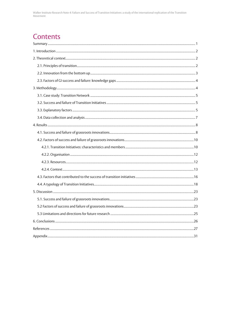## Contents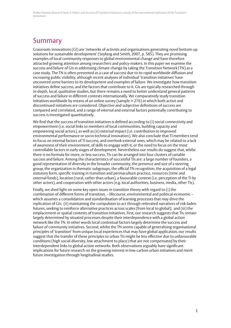## Summary

Grassroots innovations (GI) are 'networks of activists and organisations generating novel bottom-up solutions for sustainable development' (Seyfang and Smith, 2007, p. 585). They are promising examples of local community responses to global environmental change and have therefore attracted growing attention among researchers and policy-makers. In this paper we examine the success and failure of GIs in addressing climate change by taking the Transition Network (TN) as a case study. The TN is often presented as a case of success due to its rapid worldwide diffusion and increasing public visibility, although recent analyses of individual 'transition initiatives' have uncovered some barriers to its development and examples of failure. We investigate how transition initiatives define success, and the factors that contribute to it. GIs are typically researched through in-depth, local, qualitative studies, but there remains a need to better understand general patterns of success and failure in different contexts internationally. We comparatively study transition initiatives worldwide by means of an online survey (sample  $=$  276) in which both active and discontinued initiatives are considered. Objective and subjective definitions of success are compared and correlated, and a range of internal and external factors potentially contributing to success is investigated quantitatively.

We find that the success of transition initiatives is defined according to (i) social connectivity and empowerment (i.e. social links to members of local communities, building capacity and empowering social actors), as well as (ii) external impact (i.e. contribution to improved environmental performance or socio-technical innovation). We also conclude that TI members tend to focus on internal factors of TI success, and overlook external ones, which may be related to a lack of awareness of their environment, of skills to engage with it, or the need to focus on the most controllable factors in early stages of development. Nevertheless our results do suggest that, whilst there is no formula for more, or less success, TIs can be arranged into four clusters of variable success and failure. Among the characteristics of successful TIs are: a large number of founders, a good representation of diversity in the broader community, the presence and size of a steering group, the organization in thematic subgroups, the official TN recognition, the acquisition of a legal statutory form, specific training in transition and permaculture practice, resources (time and external funds), location (rural, rather than urban), a favourable context (i.e. perception of the TI by other actors), and cooperation with other actors (e.g. local authorities, business, media, other TIs).

Finally, we shed light on some key open issues in transition theory with regard to (i) the combination of different forms of transition, – lifecourse, environmental and political-economic – which assumes a consolidation and standardisation of learning processes that may drive the replication of GIs; (ii) maintaining the compulsion to act through reiterated narratives of risk-laden futures, seeking to reinforce alternative practices across scales (from local to global); and (iii) the emplacement or spatial contexts of transition initiatives. First, our research suggests that TIs remain largely determined by situated processes despite their interdependence with a global action network like the TN. In other words local contextual factors largely determine the success and failure of community initiatives. Second, whilst the TN seems capable of generalising organisational principles of 'transition' from unique local experiences that may have global application, our results suggest that the transfer of these principles to urban TIs might be less effective due to unfavourable conditions (high social diversity, low attachment to place) that are not compensated by their interdependent links to global action networks. Both observations arguably have significant implications for future research on the growing interest in low-carbon urban initiatives and merit future investigation through longitudinal studies.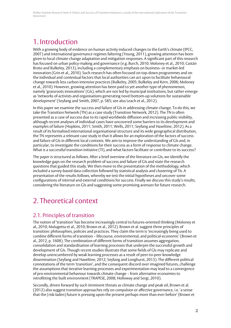## 1. Introduction

With a growing body of evidence on human activity induced changes to the Earth's climate (IPCC, 2007) and international governance regimes faltering (Young, 2011), growing attention has been given to local climate change adaptation and mitigation responses. A significant part of this research has focused on urban policy-making and governance (e.g. Burch, 2010; Moloney et al., 2010; Castán Broto and Bulkeley, 2013), including a complementary emphasis on business- or market-led innovation (Grin et al., 2010). Such research has often focused on top-down programmes and on the individual and contextual factors that local authorities can act upon to facilitate behavioural change towards less carbon intensive practices (Bulkeley, 2005; Bulkeley and Kern, 2006; Moloney et al., 2010). However, growing attention has been paid to yet another type of phenomenon, namely 'grassroots innovations' (GIs), which are not led by municipal institutions, but rather emerge as 'networks of activists and organisations generating novel bottom-up solutions for sustainable development' (Seyfang and Smith, 2007, p. 585; see also Leach et al., 2012).

In this paper we examine the success and failure of GIs in addressing climate change. To do this, we take the Transition Network (TN) as a case study (Transition Network, 2012). The TN is often presented as a case of success due to its rapid worldwide diffusion and increasing public visibility, although recent analyses of individual cases have uncovered some barriers to its development and examples of failure (Hopkins, 2011; Smith, 2011; Wells, 2011; Seyfang and Haxeltine, 2012). As a result of its formalised international organisational structure and its wide geographical distribution, the TN represents a relevant case study in that it allows for an exploration of the factors of success and failure of GIs in different local contexts. We aim to improve the understanding of GIs and, in particular, to investigate the conditions for their success as a form of response to climate change. What is a successful transition initiative (TI), and what factors facilitate or contribute to its success?

The paper is structured as follows. After a brief overview of the literature on GIs, we identify the knowledge gaps on the research problem of success and failure of GIs and state the research questions that guided this study. We then move to the presentation of the methodology, which included a survey-based data collection followed by statistical analysis and clustering of TIs. A presentation of the results follows, whereby we test the initial hypotheses and uncover some configurations of internal and external conditions for success. Finally we discuss this study's results, considering the literature on GIs and suggesting some promising avenues for future research.

## 2. Theoretical context

### 2.1. Principles of transition

The notion of 'transition' has become increasingly central to futures-oriented thinking (Moloney et al., 2010; Mulugetta et al., 2010; Brown et al., 2012). Brown et al. suggest three principles of transition: philosophies, policies and practices. They claim the term is 'increasingly being used to *combine* different forms of transition – lifecourse, environmental, and political-economic' (Brown et al., 2012, p. 1608). The combination of different forms of transition assumes aggregation, consolidation and standardisation of learning processes that underpin the successful growth and development of GIs. Though recent studies illustrate that some fields of GIs may replicate and develop unencumbered by weak learning processes as a result of peer-to-peer knowledge dissemination (Seyfang and Haxeltine, 2012; Seyfang and Longhurst, 2013). The different political connotations of the term 'transition', and the consequent discord over imagined futures, challenge the assumptions that iterative learning processes and experimentation may lead to a convergence of pro-environmental behaviour towards climate change – from alternative economies to retrofitting the built environment (TRAPESE, 2008; Holloway and Sergi, 2010).

Secondly, driven forward by such imminent threats as climate change and peak oil, Brown et al. (2012) also suggest transition approaches rely on *compulsion* or affective governance, i.e. 'a sense that the (risk-laden) future is pressing upon the present perhaps more than ever before' (Brown et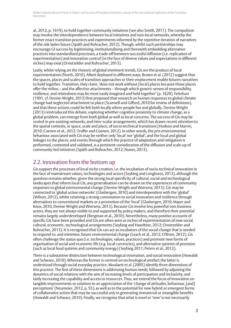al., 2012, p. 1619), to hold together community initiatives (see also Smith, 2011). The compulsion may involve the interdependence between local initiatives and non-local networks, whereby the former enact transition practices and experiments informed by the repetitive iteration of narratives of the risk-laden future (Späth and Rohracher, 2012). Though, whilst such partnerships may encourage GI success by legitimising, institutionalising and therewith embedding alternative practices into standardised processes, a trade-off between successful diffusion (i.e. replication of experimentation) and innovation control (in the face of diverse values and expectations in different niches) may exist (Ornetzelder and Rohracher, 2013).

Lastly, whilst relying on the rhetoric of global imminent trends, GIs are the product of local experimentation (North, 2010). Albeit deployed in different ways, Brown et al. (2012) suggest that the spaces, places and scales of transition approaches or their *emplacement* enable futures narratives to hold together. Transition, they claim, 'does not work without (local) places because those places offer the milieu – and the affective attachments – through which generic senses of responsibility, resilience, and relatedness may be most easily imagined and held together' (p. 1620). Feitelson (1991, cf. Devine-Wright, 2013) first proposed that research on human responses to global climate change had neglected attachment to place (Scannell and Gifford, 2010 for review of definitions), and that these actions could be felt both locally where people live *and* globally. Devine-Wright (2013) reintroduced this debate, exploring whether cognitive proximity to climate change, as a global problem, can emerge from both global as well as local concerns. The success of GIs may be rooted in pre-existing networks, and inter-scalar arrangements, which has drawn recent attention to the spatial contexts, or space, scale and place, of socio-technical transitions (Hodson and Marvin, 2010; Coenen et al., 2012; Truffer and Coenen, 2012). In other words, the pro-environmental behaviour associated with GIs may be neither only 'local' nor 'global', and the local and global linkages to the places, and events through which the practice of adaptation and mitigation is performed, contested and validated, is a pertinent consideration of the diffusion and scale-up of community-led initiatives (Späth and Rohracher, 2012; Nunes, 2013).

### 2.2. Innovation from the bottom up

GIs support the processes of local niche creation, i.e. the incubation of socio-technical innovation in the face of mainstream values, technologies and actors (Seyfang and Longhurst, 2013), although the question remains whether, given the strong local specificity of cultural, social and technological landscapes that inform local GIs, any generalisation can be drawn on the experiences of community responses to global environmental change (Devine-Wright and Wiersma, 2013). GIs may be connected to 'global action networks' (Glasbergen, 2010) and interdependent with the 'global' (Wilson, 2012), whilst retaining a strong connotation to social innovation and resilience through alternatives to conventional markets or a promotion of the 'local' (Glasbergen, 2010; Mayer and Knox, 2010; Devine-Wright and Wiersma, 2013). Because GIs involve less powerful non-business actors, they are not always visible to and supported by policy makers, and therefore their potential remains largely underdeveloped (Bergman et al., 2010). Nevertheless, many positive accounts of specific GIs have been provided and GIs are often seen as niches of experimentation of new social, cultural, economic, technological arrangements (Seyfang and Haxeltine, 2012; Ornetzelder and Rohracher, 2013). It is recognised that GIs can act as incubators of the social change that is needed to respond to, and minimise, future environmental change (Leach et al., 2012; O'Brien, 2012). GIs often challenge the status quo (i.e. technologies, values, practices) and promote new forms of organisation of social and economic life (e.g. local currencies), and alternative systems of provision (such as local food systems and community energy) (Seyfang 2011; Peters et al., 2012).

There is a substantive distinction between technological innovation, and social innovation (Howaldt and Schwarz, 2010). Whereas the former is centred on technological artefact the latter is understood through social everyday practice. Moulaert et al. (2005) identify three dimensions of this practice. The first of these dimensions is addressing human needs, followed by adjusting the dynamics of social relations with the aim of increasing levels of participation and inclusivity, and lastly increasing the capability and access to resources. Thus, we extend the focus of innovation on tangible improvements or *solutions* to an appreciation of the 'change of attitudes, behaviour, [and] perceptions' (Neumeier, 2012, p. 55), as well as to the potential for new hybrid or emergent forms of collaborative action that may be successful *only* in generating immaterial or intangible benefits (Howaldt and Schwarz, 2010). Finally, we recognise that what is *novel* or 'new' is not necessarily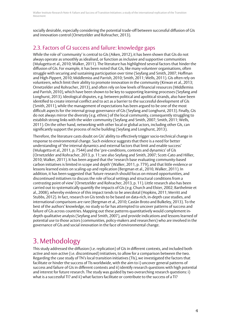socially desirable, especially considering the potential trade-off between successful diffusion of GIs and innovation control (Ornetzelder and Rohracher, 2013).

### 2.3. Factors of GI success and failure: knowledge gaps

While the role of 'community' is central to GIs (Aiken, 2012), it has been shown that GIs do not always operate as smoothly as idealised, or function as inclusive and supportive communities (Mulugetta et al., 2010; Walker, 2011). The literature has highlighted several factors that hinder the diffusion of GIs. For example, it has been noted that GIs, like many volunteer organisations, often struggle with securing and sustaining participation over time (Seyfang and Smith, 2007; Hoffman and High-Pippert, 2010; Middlemiss and Parrish, 2010; Smith, 2011; Wells, 2011). GIs often rely on volunteers, which limit their ability to promote innovation in the community (Kirwan et al., 2013; Ornetzelder and Rohracher, 2013), and often rely on low levels of financial resources (Middlemiss and Parrish, 2010), which have been shown to be key to supporting learning processes (Seyfang and Longhurst, 2013). Ideological disputes, e.g. between political and apolitical strands, also have been identified to create internal conflict and to act as a barrier to the successful development of GIs (Smith, 2011), while the management of expectations has been argued to be one of the most difficult aspects for the internal group governance of GIs (Seyfang and Longhurst, 2013). Finally, GIs do not always mirror the diversity (e.g. ethnic) of the local community, consequently struggling to establish strong links with the wider community (Seyfang and Smith, 2007; Smith, 2011; Wells, 2011). On the other hand, networking with other local or global actors, including other GIs, can significantly support the process of niche building (Seyfang and Longhurst, 2013).

Therefore, the literature casts doubt on GIs' ability to effectively trigger socio-technical change in response to environmental change. Such evidence suggests that there is a need for better understanding of 'the internal dynamics and external factors that limit and enable success' (Mulugetta et al., 2011, p. 7544) and the 'pre-conditions, contexts and dynamics' of GIs (Ornetzelder and Rohracher, 2013, p. 11; see also Seyfang and Smith, 2007; Scott-Cato and Hillier, 2010; Walker, 2011). It has been argued that the 'research base evaluating community-based carbon initiatives is limited in scope and depth' (Walker, 2011, p. 779), and that little evidence or lessons learned exists on scaling-up and replication (Bergman et al., 2010, Walker, 2011). In addition, it has been suggested that 'future research should focus on missed opportunities, and discontinued initiatives to discuss the role of local settings and structural conditions from a *contrasting* point of view' (Ornetzelder and Rohracher, 2013, p. 11). Little research also has been carried out to systematically quantify the impacts of GIs (e.g. Church and Elster, 2002; Barthelmie et al., 2008), whereby evidence of this impact tends to be anecdotal (Hopkins, 2011; Merritt and Stubbs, 2012). In fact, research on GIs tends to be based on data-rich, in-depth case studies, and international comparisons are rare (Bergman et al., 2010; Castán Broto and Bulkeley, 2013). To the best of the authors' knowledge, no study so far has attempted to uncover patterns of success and failure of GIs across countries. Mapping out these patterns quantitatively would complement indepth qualitative analysis (Seyfang and Smith, 2007), and provide indications and lessons learned of potential use to those actors (communities, policy-makers and researchers) who are involved in the governance of GIs and social innovation in the face of environmental change.

## 3. Methodology

This study addressed the diffusion (i.e. replication) of GIs in different contexts, and included both active and non-active (i.e. discontinued) initiatives, to allow for a comparison between the two. Regarding the case study of TN's local transition initiatives (TIs), we investigated the factors that facilitate or hinder the success of TIs worldwide, with the aim to i) uncover general patterns of success and failure of GIs in different contexts and ii) identify research questions with high potential and interest for future research. The study was guided by two overarching research questions: i) what is a successful TI? and ii) what factors facilitate or contribute to the success of a TI?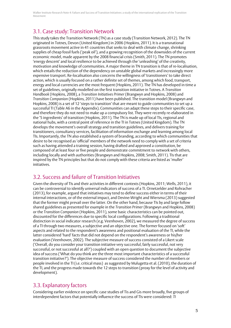### 3.1. Case study: Transition Network

This study takes the Transition Network (TN) as a case study (Transition Network, 2012). The TN originated in Totnes, Devon (United Kingdom) in 2006 (Hopkins, 2011). It is a transnational grassroots movement active in 41 countries that seeks to deal with climate change, shrinking supplies of cheap fossil fuels ('peak oil'), and a growing recognition of the downsides of the current economic model, made apparent by the 2008 financial crisis (Smith, 2011). The TN promotes 'energy descent' and local resilience to be achieved through the 'unleashing' of the creativity, motivation and knowledge of communities. A major theme in TN transition is that of re-localisation, which entails the reduction of the dependency on unstable global markets and increasingly more expensive transport. Re-localisation also concerns the willingness of 'transitioners' to take direct action, which is usually focused on a rather definite set of themes, among which food, transport, energy and local currencies are the most frequent (Hopkins, 2011). The TN has developed in time a set of guidelines, originally modelled on the first transition initiative in Totnes. A *Transition Handbook* (Hopkins, 2008), a *Transition Initiatives Primer* (Brangwyn and Hopkins, 2008) and *Transition Companion* (Hopkins, 2011) have been published. The transition model (Brangwyn and Hopkins, 2008) is a set of 12 'steps to transition' that are meant to guide communities to set up a successful TI (Table A6 in the Appendix). Communities can adapt these steps to their specific case, and therefore they do not need to make up a compulsory list. They were recently re-elaborated in the '5 ingredients' of transition (Hopkins, 2011). The TN is made up of local TIs, regional and national hubs, with a central point of reference in the TI in Totnes (United Kingdom). The TN develops the movement's overall strategy and transition guidelines, and delivers training for transitioners, consultancy services, facilitation of information exchange and learning among local TIs. Importantly, the TN also established a system of branding, according to which communities that desire to be recognised as 'official' members of the network need to comply with a set of criteria such as having attended a training session, having drafted and approved a constitution, be composed of at least four or five people and demonstrate commitment to network with others, including locally and with authorities (Brangwyn and Hopkins, 2008; Smith, 2011). TIs that are inspired by the TN principles but that do not comply with these criteria are listed as 'muller' initiatives.

### 3.2. Success and failure of Transition Initiatives

Given the diversity of TIs and their activities in different contexts (Hopkins, 2011; Wells, 2011), it can be controversial to identify universal indicators of success of a TI. Ornetzelder and Rohracher (2013), for example, argued that initiatives may tend to define success either in terms of their internal interactions, or of the external impact, and Devine-Wright and Wiersma (2013) suggested that the former might prevail over the latter. On the other hand, because TIs by and large follow shared guidelines as presented for example in the *Transition Primer* (Brangwyn and Hopkins, 2008) or the *Transition Companion* (Hopkins, 2011), some basic characteristics can be pointed out, discounted for the differences due to specific local configurations. Following a traditional distinction in social indicator research (e.g. Veenhoven, 2002), we measured the degree of success of a TI through two measures, a subjective and an objective one. The former focused on 'soft' aspects and related to the respondent's awareness and positional evaluation of the TI, while the latter considered 'hard' facts that did not depend on the respondent's awareness or his/her evaluation (Veenhoven, 2002). The subjective measure of success consisted of a Likert scale ('Overall, do you consider your transition initiative very successful, fairly successful, not very successful, or not successful at all?') coupled with an open question to document the subjective idea of success ('What do you think are the three most important characteristics of a successful transition initiative?'). The objective measure of success considered the number of members or people involved in the TI (i.e. critical mass) as suggested by Mulugetta et al. (2010), the duration of the TI, and the progress made towards the 12 steps to transition (proxy for the level of activity and development).

### 3.3. Explanatory factors

Considering earlier evidence on specific case studies of Tis and Gis more broadly, five groups of interdependent factors that potentially influence the success of TIs were considered: *TI*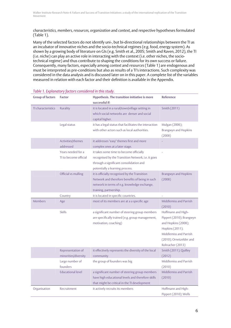*characteristics, members, resources, organization* and *context*, and respective hypotheses formulated (Table 1).

Many of the selected factors do not identify uni-, but bi-directional relationships between the TI as an incubator of innovative niches and the socio-technical regimes (e.g. food, energy system). As shown by a growing body of literature on GIs (e.g. Smith et al., 2005; Smith and Raven, 2012), the TI (i.e. niche) can play an active role in interacting with the context (i.e. other niches, the sociotechnical regime) and thus contribute to shaping the conditions for its own success or failure. Consequently, many factors, especially among *context* and *resources* (Table 1) are endogenous and must be interpreted as pre-conditions but also as results of a TI's interactions. Such complexity was considered in the data analysis and is discussed later on in this paper. A complete list of the variables measured in relation with each factor and their definition is available in the Appendix.

| <b>Group of factors</b> | <b>Factor</b>                               | Hypothesis. The transition initiative is more<br>successful if:                                                                                                             | <b>Reference</b>                                                                                                                                                  |
|-------------------------|---------------------------------------------|-----------------------------------------------------------------------------------------------------------------------------------------------------------------------------|-------------------------------------------------------------------------------------------------------------------------------------------------------------------|
| TI characteristics      | Rurality                                    | it is located in a rural/town/village setting in<br>which social networks are denser and social<br>capital higher.                                                          | Smith (2011)                                                                                                                                                      |
|                         | Legal status                                | it has a legal status that facilitates the interaction<br>with other actors such as local authorities.                                                                      | Mulgan (2006);<br><b>Brangwyn and Hopkins</b><br>(2008)                                                                                                           |
|                         | Activities/themes<br>addressed              | it addresses "easy" themes first and more<br>complex ones at a later stage.                                                                                                 |                                                                                                                                                                   |
|                         | Years needed for a<br>TI to become official | it takes some time to become officially<br>recognised by the Transition Network, i.e. it goes<br>through a significant consolidation and<br>potentially a learning process. |                                                                                                                                                                   |
|                         | Official vs mulling                         | it is officially recognised by the Transition<br>Network and therefore benefits of being in such<br>network in terms of e.g. knowledge exchange,<br>training, partnership.  | <b>Brangwyn and Hopkins</b><br>(2008)                                                                                                                             |
|                         | Country                                     | it is located in specific countries.                                                                                                                                        |                                                                                                                                                                   |
| Members                 | Age                                         | most of its members are at a a specific age                                                                                                                                 | Middlemiss and Parrish<br>(2010)                                                                                                                                  |
|                         | <b>Skills</b>                               | a significant number of steering group members<br>are specifically trained (e.g. group management,<br>motivation, coaching)                                                 | Hoffmann and High-<br>Pippert (2010); Brangwyn<br>and Hopkins (2008);<br>Hopkins (2011);<br>Middlemiss and Parrish<br>(2010); Ornetzelder and<br>Rohracher (2013) |
|                         | Representation of<br>minorities/diversity   | it effectively represents the diversity of the local<br>community                                                                                                           | Smith (2011); Quilley<br>(2012)                                                                                                                                   |
|                         | Large number of<br>founders                 | the group of founders was big                                                                                                                                               | Middlemiss and Parrish<br>(2010)                                                                                                                                  |
|                         | <b>Educational level</b>                    | a significant number of steering group members<br>have high educational levels and therefore skills<br>that might be critical in the TI development                         | Middlemiss and Parrish<br>(2010)                                                                                                                                  |
| Organisation            | Recruitment                                 | it actively recruits its members                                                                                                                                            | Hoffmann and High-<br>Pippert (2010); Wells                                                                                                                       |

#### *Table 1. Explanatory factors considered in this study.*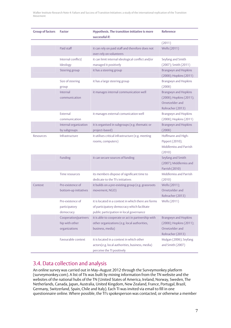| <b>Group of factors</b> | <b>Factor</b>                                           | Hypothesis. The transition initiative is more<br>successful if:                                                                                | <b>Reference</b>                                                                       |
|-------------------------|---------------------------------------------------------|------------------------------------------------------------------------------------------------------------------------------------------------|----------------------------------------------------------------------------------------|
|                         |                                                         |                                                                                                                                                | (2011)                                                                                 |
|                         | Paid staff                                              | it can rely on paid staff and therefore does not<br>over-rely on volunteers                                                                    | <b>Wells (2011)</b>                                                                    |
|                         | Internal conflict/<br>Ideology                          | it can limit internal ideological conflict and/or<br>managed it positively                                                                     | Seyfang and Smith<br>(2007); Smith (2011)                                              |
|                         | Steering group                                          | it has a steering group                                                                                                                        | Brangwyn and Hopkins<br>(2008); Hopkins (2011)                                         |
|                         | Size of steering<br>group                               | it has a large steering group                                                                                                                  | Brangwyn and Hopkins<br>(2008)                                                         |
|                         | Internal<br>communication                               | it manages internal communication well                                                                                                         | Brangwyn and Hopkins<br>(2008); Hopkins (2011);<br>Ornetzelder and<br>Rohracher (2013) |
|                         | External<br>communication                               | it manages external comunication well                                                                                                          | Brangwyn and Hopkins<br>(2008); Hopkins (2011)                                         |
|                         | Internal organization<br>by subgroups                   | it is organised in subgroups (e.g. thematic or<br>project-based)                                                                               | <b>Brangwyn and Hopkins</b><br>(2008)                                                  |
| Resources               | Infrastructure                                          | it utilises critical infrastructure (e.g. meeting<br>rooms, computers)                                                                         | Hoffmann and High-<br>Pippert (2010);<br>Middlemiss and Parrish<br>(2010)              |
|                         | Funding                                                 | it can secure sources of funding                                                                                                               | Seyfang and Smith<br>(2007); Middlemiss and<br>Parrish (2010)                          |
|                         | Time resources                                          | its members dispose of significant time to<br>dedicate to the TI's initiatives                                                                 | Middlemiss and Parrish<br>(2010)                                                       |
| Context                 | Pre-existence of<br>bottom-up initiatives               | it builds on a pre-existing group (e.g. grassroots<br>movement, NGO)                                                                           | Wells (2011);<br>Ornetzelder and<br>Rohracher (2013)                                   |
|                         | Pre-existence of<br>participatory<br>democracy          | it is located in a context in which there are forms<br>of participatory democracy which facilitate<br>public participation in local governance | Wells (2011)                                                                           |
|                         | Cooperation/partners<br>hip with other<br>organizations | it is able to cooperate or act in partnership with<br>other organizations (e.g. local authorities,<br>business, media)                         | Brangwyn and Hopkins<br>(2008); Hopkins (2011);<br>Ornetzelder and<br>Rohracher (2013) |
|                         | Favourable context                                      | it is located in a context in which other<br>actors(e.g. local authorities, business, media)<br>perceive the TI positively                     | Mulgan (2006); Seyfang<br>and Smith (2007)                                             |

### 3.4. Data collection and analysis

An online survey was carried out in May–August 2012 through the Surveymonkey platform (surveymonkey.com). A list of TIs was built by mining information from the TN website and the websites of the national hubs of the TN (United States of America, Ireland, Norway, Sweden, The Netherlands, Canada, Japan, Australia, United Kingdom, New Zealand, France, Portugal, Brazil, Germany, Switzerland, Spain, Chile and Italy). Each TI was invited via email to fill in one questionnaire online. Where possible, the TI's spokesperson was contacted, or otherwise a member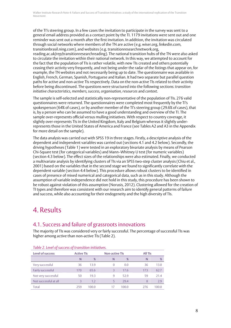of the TI's steering group. In a few cases the invitation to participate in the survey was sent to a general email address provided as a contact point by the TI. 1179 invitations were sent out and one reminder was sent out a month after the first invitation. In addition, the invitation was circulated through social networks where members of the TN are active (e.g. wiser.org, linkedin.com, transitionbrasil.ning.com), and websites (e.g. transitionresearchnetwork.org, reading.ac.uk/rep/transitionresearchreading). The national transition hubs of the TN were also asked to circulate the invitation within their national network. In this way, we attempted to account for the fact that the population of TIs is rather volatile, with new TIs created and others potentially ceasing their activity very frequently, and not being under the radar of the listings that appear on, for example, the TN websites and not necessarily being up to date. The questionnaire was available in English, French, German, Spanish, Portuguese and Italian. It had two separate but parallel question paths for active and non-active TIs respectively. Data on the non-active TIs related to their activity before being discontinued. The questions were structured into the following sections: *transition initiative characteristics, members, success, organisation, resources* and *context*.

The sample is self-selected and statistically non-representative of the population of TIs. 276 valid questionnaires were returned. The questionnaires were completed most frequently by the TI's spokesperson (64% of cases), or by another member of the TI's steering group (29.6% of cases), that is, by a person who can be assumed to have a good understanding and overview of the TI. The sample over-represents official versus mulling initiatives. With respect to country coverage, it slightly over-represents TIs in the United Kingdom, Italy and Belgium whereas it slightly underrepresents those in the United States of America and France (see Tables A2 and A3 in the Appendix for more detail on the sample).

The data analysis was carried out with SPSS 19 in three stages. Firstly, a descriptive analysis of the dependent and independent variables was carried out (sections 4.1 and 4.2 below). Secondly, the driving hypotheses (Table 1) were tested in an exploratory bivariate analysis by means of Pearson Chi-Square test (for categorical variables) and Mann–Whitney U test (for numeric variables) (section 4.3 below). The effect sizes of the relationships were also estimated. Finally, we conducted a multivariate analysis by identifying clusters of TIs via an SPSS two-step cluster analysis (Chiu et al., 2001) based on the variables that in the second stage we found to significantly correlate with the dependent variable (section 4.4 below). This procedure allows robust clusters to be identified in cases of presence of mixed numerical and categorical data, such as in this study. Although the assumption of variable independence did not hold in this study, this procedure has been shown to be robust against violation of this assumption (Norusis, 2012). Clustering allowed for the creation of TI types and therefore was consistent with our research aim to identify general patterns of failure and success, while also accounting for their endogeneity and the high diversity of TIs.

## 4. Results

### 4.1. Success and failure of grassroots innovations

The majority of TIs was considered very or fairly successful. The percentage of successful TIs was higher among active than non-active TIs (Table 2).

| Table 2. Level of Saccess of a ansieron interactives. |                   |       |                       |       |                |       |  |
|-------------------------------------------------------|-------------------|-------|-----------------------|-------|----------------|-------|--|
| Level of success                                      | <b>Active TIs</b> |       | <b>Non-active TIs</b> |       | <b>All TIs</b> |       |  |
|                                                       | N                 | %     | N                     | %     | N              | %     |  |
| Very successful                                       | 36                | 13.9  | $\Omega$              | 0.0   | 36             | 13.0  |  |
| Fairly successful                                     | 170               | 65.6  | $\overline{3}$        | 17.6  | 173            | 62.7  |  |
| Not very successful                                   | 50                | 19.3  | q                     | 52.9  | 59             | 21.4  |  |
| Not successful at all                                 | ٦                 | 1.2   | 5                     | 29.4  | 8              | 2.9   |  |
| Total                                                 | 259               | 100.0 | 17                    | 100.0 | 276            | 100.0 |  |

#### *Table 2. Level of success of transition initiatives.*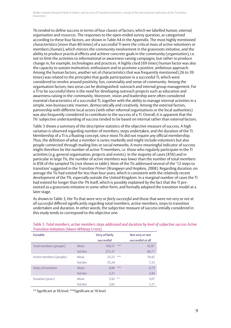TIs tended to define success in terms of four classes of factors, which we labelled *human, external, organisation* and *resources*. The responses to the open-ended survey question, as categorised according to these four factors, are shown in Table A4 in the Appendix. The most highly mentioned characteristics (more than 80 times) of a successful TI were the critical mass of active volunteers or members (*human*), which mirrors the community involvement in the grassroots initiative, and the ability to produce practical effects and achieve concrete goals in the community (*organisation*), i.e. not to limit the activities to informational or awareness-raising campaigns, but rather to produce change in, for example, technologies and practices. A highly cited (69 times) human factor was also the capacity to sustain motivation, enthusiasm and to promote a positive, ambitious approach. Among the human factors, another set of characteristics that was frequently mentioned (26 to 39 times) was related to the principles that guide participation in a successful TI, which were considered to revolve around positivity, fun, conviviality and sense of community. Among the organisation factors, two areas can be distinguished: outreach and internal group management. For a TI to be successful there is the need for developing outreach projects such as education and awareness-raising in the community. Moreover, vision and leadership were often considered essential characteristics of a successful TI, together with the ability to manage internal activities in a simple, non-bureaucratic manner, democratically and creatively. Among the external factors, partnership with different local actors (with other informal organisations or the local authorities) was also frequently considered to contribute to the success of a TI. Overall, it is apparent that the TIs' subjective understanding of success tended to be based on internal rather than external factors.

Table 3 shows a summary of the descriptive statistics of the objective measure of success. A high variation is observed regarding number of members, steps undertaken, and the duration of the TI. Membership of a TI is a floating concept, since most TIs did not require any official membership. Thus, the definition of what a member is varies markedly and might include volunteers but also people connected through mailing lists or social networks. A more meaningful indicator of success might therefore be the number of active TI members, i.e. those who regularly participate in the TI activities (e.g. general organisation, projects and events). In the majority of cases (85%) and in particular in large TIs, the number of active members was lower than the number of total members in 85% of the sampled TIs (not shown in table). Most of the TIs addressed several of the '12 steps to transition' suggested in the *Transition Primer* (Brangwyn and Hopkins, 2008). Regarding duration, on average the TIs had existed for less than four years, which is consistent with the relatively recent development of the TN, especially outside the United Kingdom. In a marginal number of cases the TI had existed for longer than the TN itself, which is possibly explained by the fact that the TI preexisted as a grassroots initiative in some other form, and formally adopted the transition model at a later stage.

As shown in Table 3, the TIs that were *very* or *fairly successful* and those that were *not very* or *not at all successful* differed significantly regarding total members, active members, steps to transition undertaken and duration. In other words, the subjective measure of success initially considered in this study tends to correspond to the objective one.

| <b>Variable</b>         |         | <b>Very of fairly</b> |       | Not very or not   |
|-------------------------|---------|-----------------------|-------|-------------------|
|                         |         | successful            |       | successful at all |
| Total members (people)  | Mean    | 189.51                | ***   | 42,87             |
|                         | Std dev | 275,37                |       | 66,71             |
| Active members (people) | Mean    | 33,23                 | ***   | 10,42             |
|                         | Std dev | 35.24                 |       | 7,33              |
| Steps of transition     | Mean    | 8,88                  | $***$ | 6,79              |
|                         | Std dev | 2,21                  |       | 2,44              |
| Duration (years)        | Mean    | 3,92                  | **    | 3,07              |
|                         | Std dev | 2,82                  |       | 1,21              |

*Table 3. Total members, active members steps addressed and duration by level of subjective success Active Transition Initiatives (Mann-Whitney U test).* 

\*\* Significant at 5% level; \*\*\*Significant at 1% level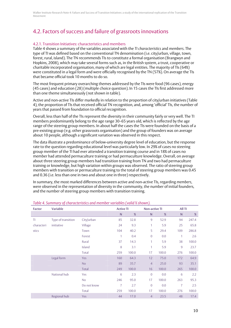## 4.2. Factors of success and failure of grassroots innovations

#### 4.2.1. Transition Initiatives: characteristics and members

Table 4 shows a summary of the variables associated with the *TI characteristics* and *members*. The type of TI was defined based on the conventional TN denomination (i.e. city/urban, village, town, forest, rural, island). The TN recommends TIs to constitute a formal organisation (Brangwyn and Hopkins, 2008), which may take several forms such as, in the British system, a trust, cooperative or charitable incorporated organisation, many of which are legal entities. The majority of TIs (64%) were constituted in a legal form and were officially recognised by the TN (57%). On average the TIs that became official took 10 months to do so.

The most frequent primary overarching themes addressed by the TIs were food (96 cases), energy (45 cases) and education (28) (multiple choice question). In 15 cases the TIs first addressed more than one theme simultaneously (not shown in table).

Active and non-active TIs differ markedly in relation to the proportion of city/urban initiatives (Table 4), the proportion of TIs that received official TN recognition, and, among 'official' TIs, the number of years that passed from foundation to official recognition.

Overall, less than half of the TIs represent the diversity in their community fairly or very well. The TI members predominantly belong to the age range 30–65 years old, which is reflected by the age range of the steering group members. In about half the cases the TIs were founded on the basis of a pre-existing group (e.g. other grassroots organisation) and the group of founders was on average about 10 people, although a significant variation was observed in this respect.

The data illustrate a predominance of below-university degree level of education, but the response rate to the question regarding educational level was particularly low. In 29% of cases no steering group member of the TI had ever attended a transition training course and in 18% of cases no member had attended permaculture training or had permaculture knowledge. Overall, on average about three steering group members had transition training from TN and two had permaculture training or knowledge, but high variation within groups was observed. The ratio of steering group members with transition or permaculture training to the total of steering group members was 0.45 and 0.36 (i.e. less than one in two and about one in three) respectively.

In summary, the most marked differences between active and non-active TIs, regarding *members*, were observed in the representation of diversity in the community, the number of initial founders, and the number of steering group members with transition training.

| <b>Factor</b> | <b>Variable</b>    |               | <b>Active TI</b> |       | <b>Non-active TI</b> |       | All TI         |       |
|---------------|--------------------|---------------|------------------|-------|----------------------|-------|----------------|-------|
|               |                    |               | N                | %     | $\mathsf{N}$         | %     | N              | $\%$  |
| TI            | Type of transition | City/urban    | 85               | 32.8  | 9                    | 52.9  | 94             | 247.4 |
| characteri    | initiative         | Village       | 24               | 9.3   | 1                    | 5.9   | 25             | 65.8  |
| stics         |                    | Town          | 104              | 40.2  | 5                    | 29.4  | 109            | 286.8 |
|               |                    | Forest        | 1                | 0.4   | $\overline{0}$       | 0.0   | 1              | 2.6   |
|               |                    | Rural         | 37               | 14.3  | 1                    | 5.9   | 38             | 100.0 |
|               |                    | <b>Island</b> | 8                | 3.1   | 1                    | 5.9   | $\overline{9}$ | 23.7  |
|               |                    | Total         | 259              | 100.0 | 17                   | 100.0 | 276            | 100.0 |
|               | Legal form         | Yes           | 160              | 64.3  | 12                   | 75.0  | 172            | 64.9  |
|               |                    | <b>No</b>     | 89               | 35.7  | $\overline{4}$       | 25.0  | 93             | 35.1  |
|               |                    | Total         | 249              | 100.0 | 16                   | 100.0 | 265            | 100.0 |
|               | National hub       | Yes           | 6                | 2.3   | $\mathbf{0}$         | 0.0   | 6              | 2.2   |
|               |                    | No            | 246              | 95.0  | 17                   | 100.0 | 263            | 95.3  |
|               |                    | Do not know   | 7                | 2.7   | $\overline{0}$       | 0.0   | $\overline{7}$ | 2.5   |
|               |                    | Total         | 259              | 100.0 | 17                   | 100.0 | 276            | 100.0 |
|               | Regional hub       | Yes           | 44               | 17.0  | 4                    | 23.5  | 48             | 17.4  |

#### *Table 4. Summary of characteristics and member variables (valid % shown).*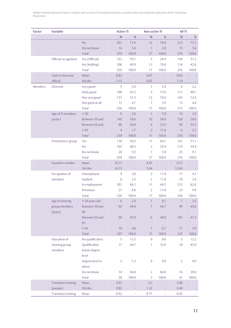| <b>Factor</b> | <b>Variable</b>            |                  | <b>Active TI</b> |       | <b>Non-active TI</b> |         | All TI         |         |
|---------------|----------------------------|------------------|------------------|-------|----------------------|---------|----------------|---------|
|               |                            |                  | ${\sf N}$        | $\%$  | ${\sf N}$            | %       | $\mathsf{N}$   | %       |
|               |                            | <b>No</b>        | 201              | 77.6  | 12                   | 70.6    | 213            | 77.2    |
|               |                            | Do not know      | 14               | 5.4   | $\overline{1}$       | 5.9     | 15             | 5.4     |
|               |                            | <b>Total</b>     | 259              | 100.0 | 17                   | 100.0   | 276            | 100.0   |
|               | Official recognition       | Yes (Official)   | 153              | 59.1  | 5                    | 29.4    | 158            | 57.2    |
|               |                            | No (Mulling)     | 106              | 40.9  | 12                   | 70.6    | 118            | 42.8    |
|               |                            | <b>Total</b>     | 259              | 100.0 | 17                   | 100.0   | 276            | 100.0   |
|               | Years to become            | Mean             | 0.83             |       | 0.67                 |         | 0.82           |         |
|               | official                   | Std dev          | 1.15             |       | 0.82                 |         | 1.14           |         |
| Members       | Diversity                  | Very good        | 5                | 2.0   | $\mathbf{1}$         | 5.9     | 6              | 2.2     |
|               |                            | Fairly good      | 108              | 42.2  | 3                    | 17.6    | 111            | 40.7    |
|               |                            | Not very good    | 131              | 51.2  | 12                   | 70.6    | 143            | 52.4    |
|               |                            | Not good at all  | 12               | 4.7   | $\mathbf{1}$         | 5.9     | 13             | 4.8     |
|               |                            | <b>Total</b>     | 256              | 100.0 | 17                   | 100.0   | 273            | 100.0   |
|               | Age of TI members          | $<$ 30           | 9                | 3.8   | $\mathbf{1}$         | 5.9     | 10             | 3.9     |
|               | (years)                    | Between 30 and   | 140              | 58.6  | 10                   | 58.8    | 150            | 58.6    |
|               |                            | Between 50 and   | 86               | 36.0  | $\overline{4}$       | 23.5    | 90             | 35.2    |
|               |                            | $>65$            | $\overline{4}$   | 1.7   | $\overline{2}$       | 11.8    | 6              | 2.3     |
|               |                            | <b>Total</b>     | 239              | 100.0 | 17                   | 100.0   | 256            | 100.0   |
|               | Preexistence group         | Yes              | 130              | 50.2  | 11                   | 64.7    | 141            | 51.1    |
|               |                            | N <sub>o</sub>   | 105              | 40.5  | 5                    | 29.4    | 110            | 39.9    |
|               |                            | Do not know      | 24               | 9.3   | $\mathbf{1}$         | 5.9     | 25             | 9.1     |
|               |                            | <b>Total</b>     | 259              | 100.0 | 17                   | 100.0   | 276            | 100.0   |
|               | Founders number            | Mean             | 10.11            |       | 8.47                 |         | 9.71           |         |
|               |                            | Std dev          | 14.13            | ÷     | 5.84                 | ÷,      | 13.04          |         |
|               | Occupation of              | Unemployed       | $\mathsf 9$      | 3.8   | 2                    | 11.8    | 11             | 4.3     |
|               | members                    | Student          | 8                | 3.3   | $\overline{2}$       | 11.8    | 10             | 3.9     |
|               |                            | In employment    | 201              | 84.1  | 11                   | 64.7    | 212            | 82.8    |
|               |                            | Pensioner        | 21               | 8.8   | $\overline{2}$       | 11.8    | 23             | 9.0     |
|               |                            | <b>Total</b>     | 239              | 100.0 | 17                   | 100.0   | 256            | 100.0   |
|               | Age of steering            | <30 years old    | 6                | 2.9   | $\mathbf{1}$         | $6.7\,$ | $\sqrt{7}$     | $3.2$   |
|               | group members              | Between 30 and   | 92               | 44.4  | $\overline{7}$       | 46.7    | 99             | 44.6    |
|               | (years)                    | 49               |                  |       |                      |         |                |         |
|               |                            | Between 50 and   | 99               | 47.8  | 6                    | 40.0    | 105            | 47.3    |
|               |                            | 65               |                  |       |                      |         |                |         |
|               |                            | $>65$            | 10               | 4.8   | $\mathbf{1}$         | 6.7     | 11             | $5.0\,$ |
|               |                            | Total            | 207              | 100.0 | 15                   | 100.0   | 222            | 100.0   |
|               | <b>Education of</b>        | No qualification | 5                | 13.2  | $\boldsymbol{0}$     | 0.0     | 5              | 12.2    |
|               | steering group             | Qualification    | 17               | 44.7  | 1                    | 33.0    | 18             | 43.9    |
|               | members                    | below degree     |                  |       |                      |         |                |         |
|               |                            | level            |                  |       |                      |         |                |         |
|               |                            | Degree level or  | $\overline{2}$   | 5.3   | $\boldsymbol{0}$     | 0.0     | $\overline{2}$ | 4.9     |
|               |                            | above            |                  |       |                      |         |                |         |
|               |                            | Do not know      | 14               | 36.8  | $\overline{2}$       | 66.0    | 16             | 39.0    |
|               |                            | Total            | 38               | 100.0 | 3                    | 100.0   | 41             | 100.0   |
|               | <b>Transition training</b> | Mean             | 3.03             |       | 2.2                  |         | 2.98           |         |
|               | (people)                   | Std dev          | 9.82             |       | 1.32                 |         | 9.49           |         |
|               | <b>Transition training</b> | Mean             | 0.42             | ÷     | 0.77                 | ÷       | 0.45           |         |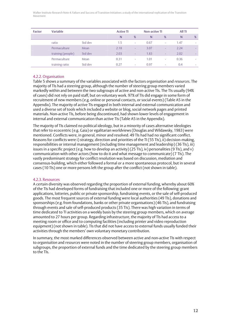| <b>Factor</b> | <b>Variable</b>   |         |      | <b>Active TI</b>         |      | <b>Non-active TI</b>     | All TI |                          |
|---------------|-------------------|---------|------|--------------------------|------|--------------------------|--------|--------------------------|
|               |                   |         | N    | %                        | N    | %                        | N      | %                        |
|               | ratio             | Std dev | 1.5  | $\overline{\phantom{a}}$ | 0.67 | ٠                        | 1.47   | $\overline{\phantom{a}}$ |
|               | Permaculture      | Mean    | 2.18 | $\overline{\phantom{a}}$ | 3.07 | $\overline{\phantom{a}}$ | 2.24   | $\overline{\phantom{a}}$ |
|               | training (people) | Std dev | 2.03 | $\overline{\phantom{a}}$ | 1.83 | $\overline{\phantom{a}}$ | 2.02   | $\overline{\phantom{a}}$ |
|               | Permaculture      | Mean    | 0.31 | $\overline{\phantom{a}}$ | 1.01 | ٠                        | 0.36   | $\overline{\phantom{a}}$ |
|               | training ratio    | Std dev | 0.27 | ٠                        | 0.97 | ٠                        | 0.4    | ۰                        |

#### 4.2.2. Organisation

Table 5 shows a summary of the variables associated with the factors *organisation* and *resources*. The majority of TIs had a steering group, although the number of steering group members varied markedly within and between the two subgroups of active and non-active TIs. The TIs usually (94% of cases) did not rely on paid staff, but on voluntary work. 97% of TIs did engage in some form of recruitment of new members (e.g. online or personal contacts, or social events) (Table A5 in the Appendix). The majority of active TIs engaged in both internal and external communication and used a diverse set of tools which included a website or blog, social network pages and printed materials. Non-active TIs, before being discontinued, had shown lower levels of engagement in internal and external communication than active TIs (Table A5 in the Appendix).

The majority of TIs claimed no political ideology, but in a minority of cases alternative ideologies that refer to ecocentric (e.g. Gaia) or egalitarian worldviews (Douglas and Wildawsky, 1983) were mentioned. Conflicts were, in general, minor and resolved. 49 TIs had had no significant conflict. Reasons for conflicts were i) strategy, direction and priorities of the TI (55 TIs), ii) decision-making, responsibilities or internal management (including time management and leadership) (36 TIs), iii) issues in a specific project (e.g. how to develop an activity) (25 TIs), iv) personalities (9 TIs), and v) communication with other actors (how to do it and what message to communicate) (7 TIs). The vastly predominant strategy for conflict resolution was based on discussion, mediation and consensus-building, which either followed a formal or a more spontaneous protocol, but in several cases (10 TIs) one or more persons left the group after the conflict (not shown in table).

#### 4.2.3. Resources

A certain diversity was observed regarding the proportion of external funding, whereby about 60% of the TIs had developed forms of fundraising that included one or more of the following: grant applications, lotteries, public or private sponsorship, fundraising events, or the sale of self-produced goods. The most frequent sources of external funding were local authorities (49 TIs), donations and sponsorships (e.g. from foundations, banks or other private organisations) (46 TIs), and fundraising through events and sale of self-produced products (35 TIs). There was high variation in terms of time dedicated to TI activities on a weekly basis by the steering group members, which on average amounted to 27 hours per group. Regarding infrastructure, the majority of TIs had access to a meeting room or office and to computing facilities (including printer and video reproduction equipment) (not shown in table). TIs that did not have access to external funds usually funded their activities through the members' own voluntary monetary contribution.

In summary, the most marked differences observed between active and non-active TIs with respect to *organisation* and *resources* were noted in the number of steering group members, organisation of subgroups, the proportion of external funds and the time dedicated by the steering group members to the TIs.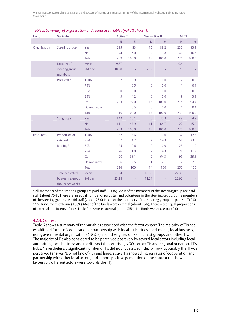| <b>Factor</b> | <b>Variable</b>                       |              | <b>Active TI</b>        |                | <b>Non-active TI</b> |       | All TI         |       |
|---------------|---------------------------------------|--------------|-------------------------|----------------|----------------------|-------|----------------|-------|
|               |                                       |              | $\overline{\mathsf{N}}$ | $\%$           | ${\sf N}$            | $\%$  | ${\sf N}$      | $\%$  |
| Organisation  | Steering group                        | Yes          | 215                     | 83             | 15                   | 88.2  | 230            | 83.3  |
|               |                                       | No           | 44                      | 17.0           | $\overline{2}$       | 11.8  | 46             | 16.7  |
|               |                                       | Total        | 259                     | 100.0          | 17                   | 100.0 | 276            | 100.0 |
|               | Number of                             | Mean         | 9.77                    |                | $\overline{4}$       |       | 9.4            |       |
|               | steering group<br>members             | Std dev      | 18.80                   |                | 2.39                 |       | 18.25          |       |
|               | Paid staff*                           | 100%         | $\overline{2}$          | 0.9            | $\overline{0}$       | 0.0   | $\overline{2}$ | 0.9   |
|               |                                       | 75%          | 1                       | 0.5            | $\mathbf{0}$         | 0.0   | 1              | 0.4   |
|               |                                       | 50%          | $\overline{0}$          | 0.0            | $\overline{0}$       | 0.0   | $\overline{0}$ | 0.0   |
|               |                                       | 25%          | $\overline{9}$          | 4.2            | $\overline{0}$       | 0.0   | 9              | 3.9   |
|               |                                       | $0\%$        | 203                     | 94.0           | 15                   | 100.0 | 218            | 94.4  |
|               |                                       | Do not know  | $\mathbf{1}$            | 0.5            | $\boldsymbol{0}$     | 0.0   | $\mathbf{1}$   | 0.4   |
|               |                                       | Total        | 216                     | 100.0          | 15                   | 100.0 | 231            | 100.0 |
|               | Subgroups                             | Yes          | 142                     | 56.1           | $6\phantom{1}6$      | 35.3  | 148            | 54.8  |
|               |                                       | No           | 111                     | 43.9           | 11                   | 64.7  | 122            | 45.2  |
|               |                                       | <b>Total</b> | 253                     | 100.0          | 17                   | 100.0 | 270            | 100.0 |
| Resources     | Proportion of                         | 100%         | 32                      | 13.6           | $\boldsymbol{0}$     | 0.0   | 32             | 12.8  |
|               | external                              | 75%          | 57                      | 24.2           | $\overline{2}$       | 14.3  | 59             | 23.6  |
|               | funding **                            | 50%          | 25                      | 10.6           | $\mathbf{0}$         | 0.0   | 25             | 10    |
|               |                                       | 25%          | 26                      | 11.0           | $\overline{2}$       | 14.3  | 28             | 11.2  |
|               |                                       | 0%           | 90                      | 38.1           | $\overline{9}$       | 64.3  | 99             | 39.6  |
|               |                                       | Do not know  | 6                       | 2.5            | 1                    | 7.1   | $\overline{7}$ | 2.8   |
|               |                                       | Total        | 236                     | 100            | 14                   | 100   | 250            | 100   |
|               | Time dedicated                        | Mean         | 27.94                   | $\blacksquare$ | 16.88                | ÷.    | 27.36          |       |
|               | by steering group<br>(hours per week) | Std dev      | 23.28                   |                | 11.24                |       | 22.92          |       |

#### *Table 5. Summary of organisation and resource variables (valid % shown).*

\* All members of the steering group are paid staff (100%), Most of the members of the steering group are paid staff (about 75%), There are an equal number of paid staff and volunteers in the steering group, Some members of the steering group are paid staff (about 25%), None of the members of the steering group are paid staff (0%). \*\* All funds were external (100%), Most of the funds were external (about 75%), There were equal proportions of external and internal funds, Little funds were external (about 25%), No funds were external (0%).

#### 4.2.4. Context

Table 6 shows a summary of the variables associated with the factor *context*. The majority of TIs had established forms of cooperation or partnership with local authorities, local media, local business, non-governmental organisations (NGOs) and other grassroots or activist groups, and other TIs. The majority of TIs also considered to be perceived positively by several local actors including local authorities, local business and media, social enterprises, NGOs, other TIs and regional or national TN hubs. Nevertheless, a significant number of TIs did not have a clear idea of how favourably the TI was perceived (answer: 'Do not know'). By and large, active TIs showed higher rates of cooperation and partnership with other local actors, and a more positive perception of the context (i.e. how favourably different actors were towards the TI).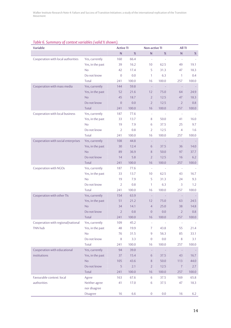| Table 6. Summary of context variables (valid % shown). |
|--------------------------------------------------------|
|--------------------------------------------------------|

| <b>Variable</b>                     |                  | <b>Active TI</b> |       | <b>Non-active TI</b>     |                          | All TI                   |       |
|-------------------------------------|------------------|------------------|-------|--------------------------|--------------------------|--------------------------|-------|
|                                     |                  | $\mathsf{N}$     | %     | ${\sf N}$                | %                        | N                        | %     |
| Cooperation with local authorities  | Yes, currently   | 160              | 66.4  | $\overline{\phantom{a}}$ | ä,                       | ä,                       |       |
|                                     | Yes, in the past | 39               | 16.2  | 10                       | 62.5                     | 49                       | 19.1  |
|                                     | <b>No</b>        | 42               | 17.4  | 5                        | 31.3                     | 47                       | 18.3  |
|                                     | Do not know      | $\boldsymbol{0}$ | 0.0   | $\mathbf{1}$             | 6.3                      | $\mathbf{1}$             | 0.4   |
|                                     | Total            | 241              | 100.0 | 16                       | 100.0                    | 257                      | 100.0 |
| Cooperation with mass media         | Yes, currently   | 144              | 59.8  | $\sim$                   |                          | $\overline{\phantom{a}}$ |       |
|                                     | Yes, in the past | 52               | 21.6  | 12                       | 75.0                     | 64                       | 24.9  |
|                                     | <b>No</b>        | 45               | 18.7  | $\overline{2}$           | 12.5                     | 47                       | 18.3  |
|                                     | Do not know      | $\boldsymbol{0}$ | 0.0   | $\overline{2}$           | 12.5                     | $\overline{2}$           | 0.8   |
|                                     | <b>Total</b>     | 241              | 100.0 | 16                       | 100.0                    | 257                      | 100.0 |
| Cooperation with local business     | Yes, currently   | 187              | 77.6  | $\overline{\phantom{a}}$ | $\sim$                   | $\overline{\phantom{a}}$ |       |
|                                     | Yes, in the past | 33               | 13.7  | 8                        | 50.0                     | 41                       | 16.0  |
|                                     | <b>No</b>        | 19               | 7.9   | 6                        | 37.5                     | 25                       | 9.7   |
|                                     | Do not know      | $\overline{2}$   | 0.8   | $\overline{2}$           | 12.5                     | $\overline{4}$           | 1.6   |
|                                     | <b>Total</b>     | 241              | 100.0 | 16                       | 100.0                    | 257                      | 100.0 |
| Cooperation with social enterprises | Yes, currently   | 108              | 44.8  | $\overline{\phantom{a}}$ | $\overline{\phantom{a}}$ | $\sim$                   |       |
|                                     | Yes, in the past | 30               | 12.4  | 6                        | 37.5                     | 36                       | 14.0  |
|                                     | <b>No</b>        | 89               | 36.9  | 8                        | 50.0                     | 97                       | 37.7  |
|                                     | Do not know      | 14               | 5.8   | $\overline{2}$           | 12.5                     | 16                       | 6.2   |
|                                     | <b>Total</b>     | 241              | 100.0 | 16                       | 100.0                    | 257                      | 100.0 |
| Cooperation with NGOs               | Yes, currently   | 187              | 77.6  | $\overline{\phantom{a}}$ | $\sim$                   | $\overline{\phantom{a}}$ |       |
|                                     | Yes, in the past | 33               | 13.7  | 10 <sup>°</sup>          | 62.5                     | 43                       | 16.7  |
|                                     | <b>No</b>        | 19               | 7.9   | 5                        | 31.3                     | 24                       | 9.3   |
|                                     | Do not know      | $\overline{2}$   | 0.8   | $\mathbf{1}$             | 6.3                      | 3                        | 1.2   |
|                                     | Total            | 241              | 100.0 | 16                       | 100.0                    | 257                      | 100.0 |
| Cooperation with other TIs          | Yes, currently   | 154              | 63.9  | $\overline{\phantom{a}}$ | $\overline{\phantom{a}}$ | ٠                        |       |
|                                     | Yes, in the past | 51               | 21.2  | 12                       | 75.0                     | 63                       | 24.5  |
|                                     | <b>No</b>        | 34               | 14.1  | $\overline{4}$           | 25.0                     | 38                       | 14.8  |
|                                     | Do not know      | $\overline{2}$   | 0.8   | $\overline{0}$           | 0.0                      | $\overline{2}$           | 0.8   |
|                                     | <b>Total</b>     | 241              | 100.0 | 16                       | 100.0                    | 257                      | 100.0 |
| Cooperation with regional/national  | Yes, currently   | 109              | 45.2  |                          |                          | $\overline{\phantom{a}}$ |       |
| TNN hub                             | Yes, in the past | 48               | 19.9  | $\overline{7}$           | 43.8                     | 55                       | 21.4  |
|                                     | <b>No</b>        | 76               | 31.5  | $\overline{9}$           | 56.3                     | 85                       | 33.1  |
|                                     | Do not know      | 8                | 3.3   | $\boldsymbol{0}$         | 0.0                      | $\,8\,$                  | 3.1   |
|                                     | Total            | 241              | 100.0 | 16                       | 100.0                    | 257                      | 100.0 |
| Cooperation with educational        | Yes, currently   | 94               | 39.0  |                          |                          | ٠                        |       |
| institutions                        | Yes, in the past | 37               | 15.4  | $6\,$                    | 37.5                     | 43                       | 16.7  |
|                                     | <b>No</b>        | 105              | 43.6  | $\, 8$                   | 50.0                     | 113                      | 44.0  |
|                                     | Do not know      | 5                | 2.1   | $\overline{2}$           | 12.5                     | $\sqrt{7}$               | 2.7   |
|                                     | <b>Total</b>     | 241              | 100.0 | 16                       | 100.0                    | 257                      | 100.0 |
| Favourable context: local           | Agree            | 163              | 67.6  | 6                        | 37.5                     | 169                      | 65.8  |
| authorities                         | Neither agree    | 41               | 17.0  | $6\,$                    | 37.5                     | 47                       | 18.3  |
|                                     | nor disagree     |                  |       |                          |                          |                          |       |
|                                     | Disagree         | 16               | 6.6   | $\overline{0}$           | $0.0\,$                  | 16                       | 6.2   |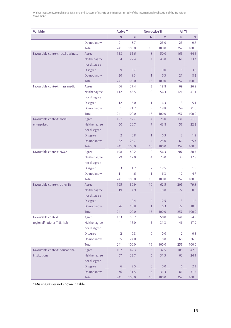| <b>Variable</b>                    |                               | <b>Active TI</b>   |             | <b>Non-active TI</b> |         | All TI          |               |
|------------------------------------|-------------------------------|--------------------|-------------|----------------------|---------|-----------------|---------------|
|                                    |                               | ${\sf N}$          | %           | $\mathsf{N}$         | %       | ${\sf N}$       | $\%$          |
|                                    | Do not know                   | 21                 | 8.7         | $\overline{4}$       | 25.0    | 25              | 9.7           |
|                                    | <b>Total</b>                  | 241                | 100.0       | 16                   | 100.0   | 257             | 100.0         |
| Favourable context: local business | Agree                         | 158                | 65.6        | 8                    | 50.0    | 166             | 64.6          |
|                                    | Neither agree                 | 54                 | 22.4        | $\overline{7}$       | 43.8    | 61              | 23.7          |
|                                    | nor disagree                  |                    |             |                      |         |                 |               |
|                                    | <b>Disagree</b>               | $\boldsymbol{9}$   | 3.7         | $\overline{0}$       | 0.0     | $\overline{9}$  | 3.5           |
|                                    | Do not know                   | 20                 | 8.3         | $\mathbf{1}$         | 6.3     | 21              | 8.2           |
|                                    | Total                         | 241                | 100.0       | 16                   | 100.0   | 257             | 100.0         |
| Favourable context: mass media     | Agree                         | 66                 | 27.4        | $\overline{3}$       | 18.8    | 69              | 26.8          |
|                                    | Neither agree                 | 112                | 46.5        | $\overline{9}$       | 56.3    | 121             | 47.1          |
|                                    | nor disagree                  |                    |             |                      |         |                 |               |
|                                    | <b>Disagree</b>               | 12                 | 5.0         | 1                    | 6.3     | 13              | 5.1           |
|                                    | Do not know                   | 51                 | 21.2        | 3                    | 18.8    | 54              | 21.0          |
|                                    | Total                         | 241                | 100.0       | 16                   | 100.0   | 257             | 100.0         |
| Favourable context: social         | Agree                         | 127                | 52.7        | $\overline{4}$       | 25.0    | 131             | 51.0          |
| enterprises                        | Neither agree                 | 50                 | 20.7        | $\overline{7}$       | 43.8    | 57              | 22.2          |
|                                    | nor disagree                  |                    |             |                      |         |                 |               |
|                                    | <b>Disagree</b>               | $\overline{2}$     | 0.8         | $\mathbf{1}$         | 6.3     | $\overline{3}$  | 1.2           |
|                                    | Do not know                   | 62                 | 25.7        | $\overline{4}$       | 25.0    | 66              | 25.7          |
|                                    | <b>Total</b>                  | 241                | 100.0       | 16                   | 100.0   | 257             | 100.0         |
| Favourable context: NGOs           | Agree                         | 198                | 82.2        | 9                    | 56.3    | 207             | 80.5          |
|                                    | Neither agree                 | 29                 | 12.0        | 4                    | 25.0    | 33              | 12.8          |
|                                    | nor disagree                  |                    |             |                      |         |                 |               |
|                                    | <b>Disagree</b>               | 3                  | 1.2         | 2                    | 12.5    | 5               | 1.9           |
|                                    | Do not know                   | 11                 | 4.6         | $\mathbf{1}$         | 6.3     | 12              | 4.7           |
|                                    | Total                         | 241                | 100.0       | 16                   | 100.0   | 257             | 100.0         |
| Favourable context: other TIs      | Agree                         | 195                | 80.9        | 10                   | 62.5    | 205             | 79.8          |
|                                    | Neither agree<br>nor disagree | 19                 | 7.9         | $\overline{3}$       | 18.8    | 22              | 8.6           |
|                                    |                               |                    |             |                      | 12.5    | $\overline{3}$  |               |
|                                    | Disagree<br>Do not know       | $\mathbf{1}$<br>26 | 0.4<br>10.8 | 2<br>$\mathbb{1}$    | 6.3     | 27              | 1.2<br>$10.5$ |
|                                    | Total                         | 241                | 100.0       | 16                   | 100.0   | 257             | 100.0         |
| Favourable context:                | Agree                         | 133                | 55.2        | $\,8\,$              | 50.0    | 141             | 54.9          |
| regional/national TNN hub          | Neither agree                 | 41                 | 17.0        | 5                    | 31.3    | 46              | 17.9          |
|                                    | nor disagree                  |                    |             |                      |         |                 |               |
|                                    | <b>Disagree</b>               | $\overline{2}$     | 0.8         | $\boldsymbol{0}$     | 0.0     | $\overline{2}$  | 0.8           |
|                                    | Do not know                   | 65                 | 27.0        | 3                    | 18.8    | 68              | 26.5          |
|                                    | Total                         | 241                | 100.0       | 16                   | 100.0   | 257             | 100.0         |
| Favourable context: educational    | Agree                         | 102                | 42.3        | $\sqrt{6}$           | 37.5    | 108             | 42.0          |
| institutions                       | Neither agree                 | 57                 | 23.7        | 5                    | 31.3    | 62              | 24.1          |
|                                    | nor disagree                  |                    |             |                      |         |                 |               |
|                                    | <b>Disagree</b>               | $6\,$              | 2.5         | $\boldsymbol{0}$     | $0.0\,$ | $6\phantom{.}6$ | 2.3           |
|                                    | Do not know                   | 76                 | 31.5        | $\sqrt{5}$           | 31.3    | 81              | 31.5          |
|                                    | Total                         | 241                | 100.0       | 16                   | 100.0   | 257             | 100.0         |

\* Missing values not shown in table.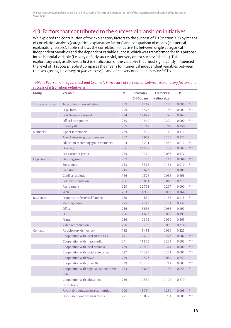### 4.3. Factors that contributed to the success of transition initiatives

We explored the contribution of the explanatory factors to the success of TIs (section 3.2) by means of correlation analysis (categorical explanatory factors) and comparison of means (numerical explanatory factors). Table 7 shows the correlation for active TIs between single categorical independent variables and the dependent variable success, which was transformed for this purpose into a bimodal variable (i.e. very or fairly successful, not very or not successful at all). This exploratory analysis allowed a first identification of the variables that most significantly influenced the level of TI success. Table 8 compares the means for numerical independent variables between the two groups, i.e. of *very* or *fairly successful* and of *not very* or *not at all successful* TIs.

| <b>Group</b>       | <b>Variable</b>                        | N   | <b>Pearson's</b>  | <b>Cramer's V</b> | P     |     |
|--------------------|----------------------------------------|-----|-------------------|-------------------|-------|-----|
|                    |                                        |     | <b>Chi-Square</b> | (effect size)     |       |     |
| TI characteristics | Type of transition initiative          | 259 | 4.712             | 0.135             | 0.095 |     |
|                    | Legal form                             | 249 | 8.575             | 0.186             | 0.003 | *** |
|                    | First theme addressed                  | 234 | 17.872            | 0.276             | 0.162 |     |
|                    | Official recognition                   | 259 | 12.549            | 0.220             | 0.000 | *** |
|                    | Country ##                             | 259 | 10.212            | 0.212             | 0.250 |     |
| Members            | Age of TI members                      | 239 | 3.534             | 0.112             | 0.316 |     |
|                    | Age of steering group members          | 207 | 4.962             | 0.155             | 0.175 |     |
|                    | Education of steering group members    | 24  | 8.291             | 0.588             | 0.016 | **  |
|                    | Diversity                              | 256 | 14.528            | 0.238             | 0.002 | *** |
|                    | Pre-existence group                    | 235 | 0.312             | 0.036             | 0.577 |     |
| Organisation       | Steering group                         | 259 | 8.233             | 0.117             | 0.004 | *** |
|                    | Subgroups                              | 253 | 6.578             | 0.161             | 0.010 | **  |
|                    | Paid staff                             | 215 | 3.627             | 0.130             | 0.305 |     |
|                    | Conflict resolution                    | 166 | 0.526             | 0.056             | 0.468 |     |
|                    | Political orientation                  | 256 | 0.081             | 0.018             | 0.775 |     |
|                    | Recruitment                            | 259 | 22.793            | 0.297             | 0.000 | *** |
|                    | Web                                    | 253 | 1.938             | 0.088             | 0.164 |     |
| <b>Resources</b>   | Proportion of external funding         | 230 | 5.59              | 0.156             | 0.018 | **  |
|                    | Meeting room                           | 225 | 2.273             | 0.101             | 0.132 |     |
|                    | Office                                 | 236 | 1.666             | 0.086             | 0.197 |     |
|                    | PC                                     | 236 | 1.697             | 0.086             | 0.193 |     |
|                    | Printer                                | 236 | 0.812             | 0.060             | 0.367 |     |
|                    | Video reproduction                     | 236 | 0.789             | 0.059             | 0.374 |     |
| Context            | Participatory democracy                | 182 | 1.473             | 0.090             | 0.225 |     |
|                    | Cooperation with local authorities     | 241 | 12.405            | 0.227             | 0.002 | *** |
|                    | Cooperation with mass media            | 241 | 11.805            | 0.221             | 0.003 | *** |
|                    | Cooperation with local business        | 239 | 23.598            | 0.314             | 0.000 | *** |
|                    | Cooperation with social enterprises    | 227 | 14.297            | 0.251             | 0.001 | *** |
|                    | Cooperation with NGOs                  | 239 | 0.527             | 0.049             | 0.753 |     |
|                    | Cooperation with other TIs             | 239 | 10.757            | 0.212             | 0.005 | *** |
|                    | Cooperation with regional/national TNN | 233 | 5.818             | 0.158             | 0.055 |     |
|                    | hub                                    |     |                   |                   |       |     |
|                    | Cooperation with educational           | 236 | 2.552             | 0.104             | 0.279 |     |
|                    | institutions                           |     |                   |                   |       |     |
|                    | Favourable context: local authorities  | 220 | 13.754            | 0.250             | 0.008 | *** |
|                    | Favourable context: mass media         | 221 | 15.092            | 0.261             | 0.005 | *** |

#### *Table 7. Pearson Chi-Square test and Cramer's V measure of correlation between explanatory factors and success of a transition initiative. #*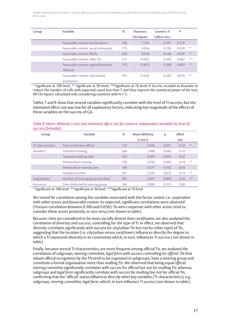| Group | <b>Variable</b>                                         | N   | Pearson's         | Cramer's V    | P     |     |
|-------|---------------------------------------------------------|-----|-------------------|---------------|-------|-----|
|       |                                                         |     | <b>Chi-Square</b> | (effect size) |       |     |
|       | <b>Favourable context: local business</b>               | 190 | 7.342             | 0.197         | 0.119 |     |
|       | Favourable context: social enterprises                  | 179 | 9.954             | 0.236         | 0.019 | **  |
|       | <b>Favourable context: NGOs</b>                         | 230 | 8.639             | 0.194         | 0.034 | **  |
|       | Eavourable context: other TIs                           | 215 | 14.992            | 0.264         | 0.002 | *** |
|       | Favourable context: regional/national<br><b>TNN</b> hub | 176 | 15.879            | 0.300         | 0.003 | *** |
|       | Favourable context: educational<br>institutions         | 165 | 13 245            | 0.283         | 0.010 | **  |

\* Significant at 10% level; \*\* Significant at 5% level; \*\*\*Significant at 1% level; # *Success* recoded as bivariate to reduce the number of cells with expected count less than 5 and thus improve the statistical power of the test; ## Chi-Square calculated only considering countries with  $N > 5$ .

Tables 7 and 8 show that several variables significantly correlate with the level of TI success, but the estimated effect size was low for all explanatory factors, indicating low magnitude of the effects of these variables on the success of GIs.

*Table 8. Mann–Whitney U test and estimated effect size for numeric independent variables by level of success (bimodal).* 

| Group              | <b>Variable</b>                  | N   | <b>Mann-Whitney</b> | p     | effect |     |
|--------------------|----------------------------------|-----|---------------------|-------|--------|-----|
|                    |                                  |     | U test Z            |       | size   |     |
| TI characteristics | Years to become official         | 132 | 2.046               | 0.041 | 0.18   | **  |
| <b>Members</b>     | <b>Transition training</b>       | 204 | 1.488               | 0.080 | 0.10   | *   |
|                    | Transition training ratio        | 193 | 0.264               | 0.493 | 0.02   |     |
|                    | Permaculture training            | 199 | 2.036               | 0.042 | 0.14   | **  |
|                    | Permaculture training ratio      | 188 | 0.577               | 0.502 | 0.04   |     |
|                    | Founders number                  | 247 | 2.276               | 0.023 | 0.14   | **  |
| Organisation       | Number of steering group members | 203 | 2.607               | 0.009 | 0.18   | *** |
| Resources          | Time dedicated by steering group | 146 | 0.988               | 0.323 | 0.08   |     |

\* Significant at 10% level; \*\* Significant at 5% level; \*\*\*Significant at 1% level.

We tested for correlation among the variables associated with the factor *context*, i.e. *cooperation* with other actors and *favourable context*. As expected, significant correlations were observed (Pearson correlation between 0.300 and 0.650): TIs who cooperate with other actors tend to consider these actors positively, or vice versa (not shown in table).

Because cities are considered to be more socially diverse than rural/towns, we also analysed the correlation of diversity and success, controlling for the type of TI. In effect, we observed that diversity correlates significantly with success for city/urban TIs but not for other types of TIs, suggesting that the location (i.e. city/urban versus rural/town) influences directly the degree to which a TI represents diversity in its community which, in turn, influences TI success (not shown in table).

Finally, because several TI characteristics are more frequent among official TIs, we analysed the correlation of *subgroups, steering committee, legal form* with *success* controlling for *official*. TIs that obtain official recognition by the TN tend to be organised in subgroups, have a steering group and constitute a formal organisation more than mulling TIs. We observed that being equal *official, steering committee* significantly correlates with *success* for official but not for mulling TIs, whereas *subgroups* and *legal form* significantly correlate with *success* for mulling but not for official TIs, confirming that the 'official' status influences directly other key variables (TI characteristics), e.g. *subgroups, steering committee, legal form*, which, in turn influence TI *success* (not shown in table).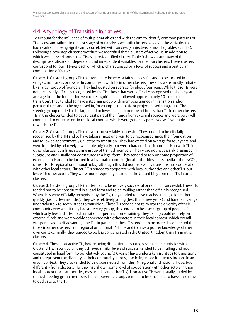### 4.4. A typology of Transition Initiatives

To account for the influence of multiple variables and with the aim to identify common patterns of TI success and failure, in the last stage of our analysis we built clusters based on the variables that had resulted in being significantly correlated with success (subjective, bimodal) (Tables 7 and 8). Following a two-step cluster procedure we identified three clusters of active TIs, in addition to which we analysed non-active TIs as a pre-identified cluster. Table 9 shows a summary of the descriptive statistics for dependent and independent variables for the four clusters. These clusters correspond to four TI types each of which is characterised by a level of success and a particular combination of factors.

**Cluster 1**. Cluster 1 groups TIs that tended to be very or fairly successful, and to be located in villages, rural areas or towns. In comparison with TIs in other clusters, these TIs were mostly initiated by a larger group of founders. They had existed on average for about four years. While these TIs were not necessarily officially recognised by the TN, those that were officially recognised took one year on average from the foundation year to recognition and followed approximately 10 'steps to transition'. They tended to have a steering group with members trained in Transition and/or permaculture, and to be organised in, for example, thematic or project-based subgroups. The steering group tended to be larger and to invest a higher number of hours than TIs in other clusters. TIs in this cluster tended to get at least part of their funds from external sources and were very well connected to other actors in the local context, which were generally perceived as favourable towards the TIs.

**Cluster 2**. Cluster 2 groups TIs that were mostly fairly successful. They tended to be officially recognised by the TN and to have taken almost one year to be recognised since their foundation and followed approximately 8.5 'steps to transition'. They had existed on average for four years, and were founded by relatively few people originally, but were characterised, in comparison with TIs in other clusters, by a large steering group of trained members. They were not necessarily organised in subgroups and usually not constituted in a legal form. They tended to rely on some proportion of external funds and to be located in a favourable context (local authorities, mass media, other NGOs, other TIs, TN regional or national hubs), although this did not necessarily translate into cooperation with other local actors. Cluster 2 TIs tended to cooperate with local authorities and other TIs, but less with other actors. They were more frequently located in the United Kingdom than TIs in other clusters.

**Cluster 3**. Cluster 3 groups TIs that tended to be not very successful or not at all successful. These TIs tended not to be constituted in a legal form and to be mulling rather than officially recognised. When they were officially recognised by the TN, they tended to have reached recognition rather quickly (i.e. in a few months). They were relatively young (less than three years) and have on average undertaken six to seven 'steps to transition'. These TIs tended not to mirror the diversity of their community very well. If they had a steering group, this tended to be a small group of people of which only few had attended transition or permaculture training. They usually could not rely on external funds and were weakly connected with other actors in their local context, which overall was perceived to disadvantage the TIs. In particular, these TIs tended to be more disconnected than those in other clusters from regional or national TN hubs and to have a poorer knowledge of their own context. Finally, they tended to be less concentrated in the United Kingdom than TIs in other clusters.

**Cluster 4**. These non-active TIs, before being discontinued, shared several characteristics with Cluster 3 TIs. In particular, they achieved similar levels of success, tended to be mulling and not constituted in legal form, to be relatively young (3.6 years) have undertaken six 'steps to transition', and to represent the diversity of their community poorly, also being more frequently located in an urban context. They also tended to be disconnected from the TN regional and national hubs, but, differently from Cluster 3 TIs, they had shown some level of cooperation with other actors in their local context (local authorities, mass media and other TIs). Non-active TIs were usually guided by trained steering group members, but the steering groups tended to be small and to have little time to dedicate to the TI.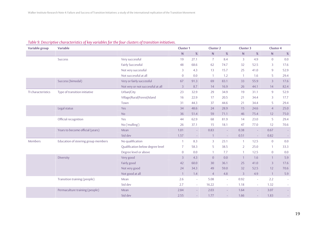#### *Table 9. Descriptive characteristics of key variables for the four clusters of transition initiatives.*

| Variable group     | <b>Variable</b>                     |                                   |                | <b>Cluster 1</b><br><b>Cluster 2</b> |                |                          | <b>Cluster 3</b> |                          | <b>Cluster 4</b> |                          |
|--------------------|-------------------------------------|-----------------------------------|----------------|--------------------------------------|----------------|--------------------------|------------------|--------------------------|------------------|--------------------------|
|                    |                                     |                                   | ${\sf N}$      | $\%$                                 | $\mathsf{N}$   | $\%$                     | ${\sf N}$        | $\%$                     | ${\sf N}$        | $\%$                     |
|                    | <b>Success</b>                      | Very successful                   | 19             | 27.1                                 | $\overline{7}$ | 8.4                      | 3                | 4.9                      | $\overline{0}$   | 0.0                      |
|                    |                                     | <b>Fairly Successful</b>          | 48             | 68.6                                 | 62             | 74.7                     | 32               | 52.5                     | 3                | 17.6                     |
|                    |                                     | Not very successful               | 3              | 4.3                                  | 13             | 15.7                     | 25               | 41.0                     | $\overline{9}$   | 52.9                     |
|                    |                                     | Not successful at all             | $\overline{0}$ | 0.0                                  | $\overline{1}$ | 1.2                      | $\overline{1}$   | 1.6                      | 5                | 29.4                     |
|                    | Success (bimodal)                   | Very or fairly successful         | 67             | 91.3                                 | 69             | 83.1                     | 33               | 55.9                     | $\overline{3}$   | 17.6                     |
|                    |                                     | Not very or not successful at all | 3              | 8.7                                  | 14             | 16.9                     | 26               | 44.1                     | 14               | 82.4                     |
| TI characteristics | Type of transition initiative       | Urban/City                        | 23             | 32.9                                 | 29             | 34.9                     | 19               | 31.1                     | $\overline{9}$   | 52.9                     |
|                    |                                     | Village/Rural/Forest/Island       | 16             | 22.9                                 | 17             | 20.5                     | 21               | 34.4                     | 3                | 17.7                     |
|                    |                                     | Town                              | 31             | 44.3                                 | 37             | 44.6                     | 21               | 34.4                     | 5                | 29.4                     |
|                    | Legal status                        | Yes                               | 34             | 48.6                                 | 24             | 28.9                     | 15               | 24.6                     | $\overline{4}$   | 25.0                     |
|                    |                                     | <b>No</b>                         | 36             | 51.4                                 | 59             | 71.1                     | 46               | 75.4                     | 12               | 75.0                     |
|                    | Official recognition                | Yes                               | 44             | 62.9                                 | 68             | 81.9                     | 14               | 23.0                     | 5                | 29.4                     |
|                    |                                     | No ('mulling')                    | 26             | 37.1                                 | 15             | 18.1                     | 47               | 77.0                     | 12               | 70.6                     |
|                    | Years to become official (years)    | Mean                              | 1.01           | $\sim$                               | 0.83           | $\sim$                   | 0.38             | $\sim$                   | 0.67             | $\sim$                   |
|                    |                                     | Std dev                           | 1.57           | $\sim$                               |                | $\overline{\phantom{a}}$ | 0.51             | $\overline{\phantom{a}}$ | 0.82             | $\sim$                   |
| Members            | Education of steering group members | No qualification                  | $\overline{1}$ | 8.3                                  | 3              | 23.1                     | $\overline{1}$   | 12.5                     | $\overline{0}$   | 0.0                      |
|                    |                                     | Qualification below degree level  | $\overline{7}$ | 58.3                                 | 5              | 38.5                     | $\overline{2}$   | 25.0                     | $\mathbf{1}$     | 33.3                     |
|                    |                                     | Degree level or above             | $\overline{0}$ | 0.0                                  |                | 7.7                      | -1               | 12.5                     | $\overline{0}$   | 0.0                      |
|                    | Diversity                           | Very good                         | 3              | 4.3                                  | $\overline{0}$ | 0.0                      | $\overline{1}$   | 1.6                      | $\overline{1}$   | 5.9                      |
|                    |                                     | Fairly good                       | 42             | 60.0                                 | 30             | 36.1                     | 25               | 41.0                     | 3                | 17.6                     |
|                    |                                     | Not very good                     | 24             | 34.3                                 | 49             | 59.0                     | 32               | 52.5                     | 12               | 70.6                     |
|                    |                                     | Not good at all                   | $\mathbf{1}$   | 1.4                                  | $\overline{4}$ | 4.8                      | $\overline{3}$   | 4.9                      | $\overline{1}$   | 5.9                      |
|                    | Transition training (people)        | Mean                              | 2.6            | $\overline{\phantom{a}}$             | 5.08           | $\sim$                   | 0.92             | $\sim$                   | 2.2              | $\overline{\phantom{a}}$ |
|                    |                                     | Std dev                           | 2.7            | $\sim$                               | 16.22          | $\sim$                   | 1.18             | $\sim$                   | 1.32             | $\overline{\phantom{a}}$ |
|                    | Permaculture training (people)      | Mean                              | 2.84           | $\overline{\phantom{0}}$             | 2.03           |                          | 1.64             |                          | 3.07             | $\sim$                   |
|                    |                                     | Std dev                           | 2.55           |                                      | 1.77           |                          | 1.66             |                          | 1.83             | $\overline{\phantom{a}}$ |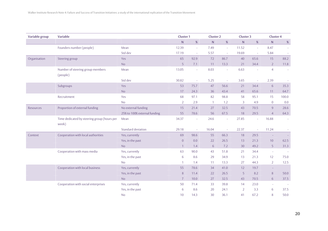| <b>Variable group</b> | <b>Variable</b>                                      | <b>Cluster 1</b>             |                   | <b>Cluster 2</b>         |              | <b>Cluster 3</b> |                | <b>Cluster 4</b>         |                |         |
|-----------------------|------------------------------------------------------|------------------------------|-------------------|--------------------------|--------------|------------------|----------------|--------------------------|----------------|---------|
|                       |                                                      |                              | ${\sf N}$<br>$\%$ |                          | ${\sf N}$    | $\%$             | N              | $\%$                     | ${\sf N}$      | $\%$    |
|                       | Founders number (people)                             | Mean                         | 12.39             | $\overline{\phantom{a}}$ | 7.49         | $\sim$           | 11.52          | $\sim$                   | 8.47           | ÷       |
|                       |                                                      | Std dev                      | 17.19             | $\sim$                   | 5.57         | $\sim$           | 19.69          | $\sim$                   | 5.84           |         |
| Organisation          | Steering group                                       | Yes                          | 65                | 92.9                     | 72           | 86.7             | 40             | 65.6                     | 15             | 88.2    |
|                       |                                                      | No                           | 5                 | 7.1                      | 11           | 13.3             | 21             | 34.4                     | $\overline{2}$ | 11.8    |
|                       | Number of steering group members<br>(people)         | Mean                         | 13.05             | $\sim$                   | 8.03         | $\sim$           | 6.63           | $\sim$                   | $\overline{4}$ | $\sim$  |
|                       |                                                      | Std dev                      | 30.82             |                          | 5.25         |                  | 3.65           |                          | 2.39           |         |
|                       | Subgroups                                            | Yes                          | 53                | 75.7                     | 47           | 56.6             | 21             | 34.4                     | 6              | 35.3    |
|                       |                                                      | <b>No</b>                    | 17                | 24.3                     | 36           | 43.4             | 41             | 65.6                     | 11             | 64.7    |
|                       | Recruitment                                          | Yes                          | 68                | 97.1                     | 82           | 98.8             | 58             | 95.1                     | 15             | 100.0   |
|                       |                                                      | <b>No</b>                    | $\overline{2}$    | 2.9                      | $\mathbf{1}$ | 1.2              | $\overline{3}$ | 4.9                      | $\overline{0}$ | $0.0\,$ |
| Resources             | Proportion of external funding                       | No external funding          | 15                | 21.4                     | 27           | 32.5             | 43             | 70.5                     | 9              | 28.6    |
|                       |                                                      | 25% to 100% external funding | 55                | 78.6                     | 56           | 67.5             | 18             | 29.5                     | $\overline{4}$ | 64.3    |
|                       | Time dedicated by steering group (hours per<br>week) | Mean                         | 34.37             | $\overline{\phantom{a}}$ | 24.6         | $\sim$           | 27.85          | $\sim$                   | 16.88          | $\sim$  |
|                       |                                                      | Standard deviation           | 29.18             | $\overline{\phantom{a}}$ | 16.04        | $\sim$           | 22.37          | $\overline{\phantom{a}}$ | 11.24          |         |
| Context               | Cooperation with local authorities                   | Yes, currently               | 69                | 98.6                     | 55           | 66.3             | 18             | 29.5                     | $\sim$         |         |
|                       |                                                      | Yes, in the past             | $\overline{0}$    | 0.0                      | 22           | 26.5             | 13             | 21.3                     | 10             | 62.5    |
|                       |                                                      | <b>No</b>                    | $\mathbf{1}$      | 1.4                      | 6            | 7.2              | 30             | 49.2                     | 5              | 31.3    |
|                       | Cooperation with mass media                          | Yes, currently               | 63                | 90.0                     | 43           | 51.8             | 21             | 34.4                     | $\sim$         | $\sim$  |
|                       |                                                      | Yes, in the past             | 6                 | 8.6                      | 29           | 34.9             | 13             | 21.3                     | 12             | 75.0    |
|                       |                                                      | <b>No</b>                    | $\mathbf{1}$      | 1.4                      | 11           | 13.3             | 27             | 44.3                     | $\overline{2}$ | 12.5    |
|                       | Cooperation with local business                      | Yes, currently               | 55                | 78.6                     | 34           | 41.0             | 12             | 19.7                     | $\sim$         |         |
|                       |                                                      | Yes, in the past             | 8                 | 11.4                     | 22           | 26.5             | 5              | 8.2                      | 8              | 50.0    |
|                       |                                                      | <b>No</b>                    | $\overline{7}$    | 10.0                     | 27           | 32.5             | 43             | 70.5                     | 6              | 37.5    |
|                       | Cooperation with social enterprises                  | Yes, currently               | 50                | 71.4                     | 33           | 39.8             | 14             | 23.0                     | $\sim$         |         |
|                       |                                                      | Yes, in the past             | 6                 | 8.6                      | 20           | 24.1             | 2              | 3.3                      | 6              | 37.5    |
|                       |                                                      | <b>No</b>                    | 10                | 14.3                     | 30           | 36.1             | 41             | 67.2                     | 8              | 50.0    |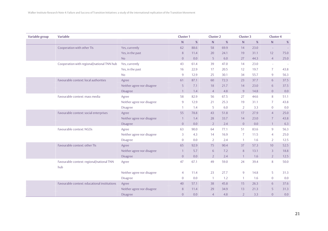| Variable group | Variable                                         |                            | <b>Cluster 1</b> |      | <b>Cluster 2</b> |      | <b>Cluster 3</b> |      | <b>Cluster 4</b> |        |
|----------------|--------------------------------------------------|----------------------------|------------------|------|------------------|------|------------------|------|------------------|--------|
|                |                                                  |                            | $\mathsf{N}$     | %    | N                | %    | $\mathsf{N}$     | %    | N                | $\%$   |
|                | Cooperation with other TIs                       | Yes, currently             | 62               | 88.6 | 58               | 69.9 | 14               | 23.0 | $\sim$           |        |
|                |                                                  | Yes, in the past           | 8                | 11.4 | 20               | 24.1 | 19               | 31.1 | 12               | 75.0   |
|                |                                                  | <b>No</b>                  | $\overline{0}$   | 0.0  | 5                | 6.0  | 27               | 44.3 | $\overline{4}$   | 25.0   |
|                | Cooperation with regional/national TNN hub       | Yes, currently             | 43               | 61.4 | 39               | 47.0 | 14               | 23.0 | $\sim$           | $\sim$ |
|                |                                                  | Yes, in the past           | 16               | 22.9 | 17               | 20.5 | 12               | 19.7 | $\overline{7}$   | 43.8   |
|                |                                                  | <b>No</b>                  | $\overline{9}$   | 12.9 | 25               | 30.1 | 34               | 55.7 | $\overline{9}$   | 56.3   |
|                | Favourable context: local authorities            | Agree                      | 61               | 87.1 | 60               | 72.3 | 23               | 37.7 | 6                | 37.5   |
|                |                                                  | Neither agree nor disagree | 5                | 7.1  | 18               | 21.7 | 14               | 23.0 | 6                | 37.5   |
|                |                                                  | <b>Disagree</b>            | $\overline{1}$   | 1.4  | $\overline{4}$   | 4.8  | 9                | 14.8 | $\overline{0}$   | 0.0    |
|                | Favourable context: mass media                   | Agree                      | 58               | 82.9 | 56               | 67.5 | 27               | 44.6 | 8                | 51.1   |
|                |                                                  | Neither agree nor disagree | $\overline{9}$   | 12.9 | 21               | 25.3 | 19               | 31.1 | $\overline{7}$   | 43.8   |
|                |                                                  | <b>Disagree</b>            | $\overline{1}$   | 1.4  | 5                | 6.0  | $\overline{2}$   | 3.3  | $\overline{0}$   | 0.0    |
|                | Favourable context: social enterprises           | Agree                      | 55               | 78.8 | 43               | 51.8 | 17               | 27.9 | $\overline{4}$   | 25.0   |
|                |                                                  | Neither agree nor disagree | $\overline{1}$   | 1.4  | 28               | 33.7 | 14               | 23.0 | $\overline{7}$   | 43.8   |
|                |                                                  | Disagree                   | $\overline{0}$   | 0.0  | $\overline{2}$   | 2.4  | $\overline{0}$   | 0.0  | $\mathbf{1}$     | 6.3    |
|                | Favourable context: NGOs                         | Agree                      | 63               | 90.0 | 64               | 77.1 | 51               | 83.6 | $\overline{9}$   | 56.3   |
|                |                                                  | Neither agree nor disagree | 3                | 4.3  | 14               | 16.9 | $\overline{7}$   | 11.5 | $\overline{4}$   | 25.0   |
|                |                                                  | <b>Disagree</b>            | $\overline{0}$   | 0.0  | $\overline{2}$   | 2.4  | $\mathbf{1}$     | 1.6  | $\overline{2}$   | 12.5   |
|                | Favourable context: other TIs                    | Agree                      | 65               | 92.9 | 75               | 90.4 | 37               | 57.3 | 10               | 52.5   |
|                |                                                  | Neither agree nor disagree | $\mathbf{1}$     | 5.7  | 6                | 7.2  | 8                | 13.1 | 3                | 18.8   |
|                |                                                  | <b>Disagree</b>            | $\overline{0}$   | 0.0  | $\overline{2}$   | 2.4  | $\mathbf{1}$     | 1.6  | $\overline{2}$   | 12.5   |
|                | Favourable context: regional/national TNN<br>hub | Agree                      | 47               | 67.1 | 49               | 59.0 | 24               | 39.4 | 8                | 50.0   |
|                |                                                  | Neither agree nor disagree | $\overline{4}$   | 11.4 | 23               | 27.7 | $\overline{9}$   | 14.8 | 5                | 31.3   |
|                |                                                  | Disagree                   | $\overline{0}$   | 0.0  | $\overline{1}$   | 1.2  | $\mathbf{1}$     | 1.6  | $\overline{0}$   | 0.0    |
|                | Favourable context: educational institutions     | Agree                      | 40               | 57.1 | 38               | 45.8 | 15               | 26.3 | 6                | 37.6   |
|                |                                                  | Neither agree nor disagree | 8                | 11.4 | 29               | 34.9 | 13               | 21.3 | 5                | 31.3   |
|                |                                                  | <b>Disagree</b>            | $\overline{0}$   | 0.0  | $\overline{4}$   | 4.8  | $\overline{2}$   | 3.3  | $\overline{0}$   | 0.0    |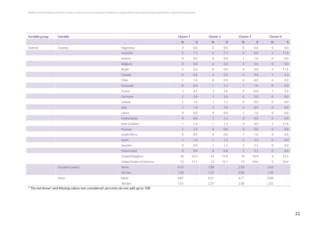| Variable group | Variable         |                                 | <b>Cluster 1</b> |                          | Cluster <sub>2</sub> |        | <b>Cluster 3</b> |         | <b>Cluster 4</b> |         |
|----------------|------------------|---------------------------------|------------------|--------------------------|----------------------|--------|------------------|---------|------------------|---------|
|                |                  |                                 | ${\sf N}$        | $\%$                     | ${\sf N}$            | $\%$   | ${\sf N}$        | $\%$    | ${\sf N}$        | $\%$    |
| Control        | Country          | Argentina                       | $\boldsymbol{0}$ | $0.0\,$                  | $\overline{0}$       | 0.0    | $\overline{0}$   | 0.0     | $\overline{0}$   | $0.0\,$ |
|                |                  | Australia                       | $\overline{5}$   | 7.1                      | 6                    | 7.2    | $\overline{4}$   | 6.6     | $\overline{2}$   | 11.8    |
|                |                  | Austria                         | $\overline{0}$   | 0.0                      | $\overline{0}$       | 0.0    | $\mathbf{1}$     | 1.6     | $\overline{0}$   | 0.0     |
|                |                  | Belgium                         | $\overline{0}$   | 0.0                      | $2^{\circ}$          | 2.4    | $\overline{3}$   | 4.9     | $\overline{0}$   | 0.0     |
|                |                  | <b>Brazil</b>                   | $\overline{2}$   | 2.9                      | $\overline{0}$       | 0.0    | $\overline{0}$   | 0.0     | $\overline{2}$   | 11.8    |
|                |                  | Canada                          | 6                | 8.6                      | $\overline{3}$       | 3.6    | 6                | 9.8     | $\mathbf{1}$     | 5.9     |
|                |                  | Chile                           | $\mathbf{1}$     | 1.4                      | $\overline{0}$       | 0.0    | $\overline{0}$   | 0.0     | $\overline{0}$   | 0.0     |
|                |                  | Denmark                         | $\overline{0}$   | $0.0\,$                  | $\mathbf{1}$         | 1.2    | $\mathbf{1}$     | 1.6     | $\overline{0}$   | 0.0     |
|                |                  | France                          | $\overline{3}$   | 4.3                      | $\overline{3}$       | 3.6    | $\overline{4}$   | 6.6     | $\overline{1}$   | 5.9     |
|                |                  | Germany                         | $\overline{2}$   | 2.9                      | $\overline{3}$       | 3.6    | 6                | 9.8     | $\overline{0}$   | 0.0     |
|                |                  | Ireland                         | 1                | 1.4                      | $\mathbf{1}$         | 1.2    | $\overline{0}$   | $0.0\,$ | $\overline{0}$   | $0.0\,$ |
|                |                  | Italy                           | $\mathbf{1}$     | $1.4\,$                  | $\overline{3}$       | 3.6    | $\overline{4}$   | 6.6     | $\overline{0}$   | $0.0\,$ |
|                |                  | Latvia                          | $\boldsymbol{0}$ | $0.0\,$                  | $\overline{0}$       | 0.0    | $\mathbf{1}$     | 1.6     | $\overline{0}$   | $0.0\,$ |
|                |                  | Netherlands                     | $\boldsymbol{0}$ | $0.0\,$                  | $2^{\circ}$          | 2.4    | $\overline{0}$   | 0.0     | $\overline{0}$   | 0.0     |
|                |                  | New Zealand                     | $\mathbf{1}$     | 1.4                      | $\mathbf{1}$         | 1.2    | $\overline{0}$   | 0.0     | $\overline{2}$   | 11.8    |
|                |                  | Norway                          | $\overline{2}$   | 2.9                      | $\overline{0}$       | 0.0    | $\overline{0}$   | 0.0     | $\overline{0}$   | 0.0     |
|                |                  | South Africa                    | $\boldsymbol{0}$ | 0.0                      | $\overline{0}$       | 0.0    | $\mathbf{1}$     | 1.6     | $\overline{0}$   | $0.0\,$ |
|                |                  | Spain                           | $\mathbf{1}$     | 1.4                      | $\mathbf{1}$         | 1.2    | $\overline{2}$   | 3.3     | $\overline{0}$   | 0.0     |
|                |                  | Sweden                          | $\overline{0}$   | 0.0                      | $\overline{1}$       | 1.2    | $\overline{2}$   | 3.3     | $\overline{0}$   | $0.0\,$ |
|                |                  | Switzerland                     | $\boldsymbol{0}$ | 0.0                      | $\overline{0}$       | 0.0    | $\overline{2}$   | 3.3     | $\overline{0}$   | $0.0\,$ |
|                |                  | United Kingdom                  | 30               | 42.9                     | 43                   | 51.8   | 10 <sup>°</sup>  | 16.4    | $\overline{4}$   | 23.5    |
|                |                  | <b>United States of America</b> | 12               | 17.1                     | 13                   | 15.7   | 15               | 24.6    | 5                | 29.4    |
|                | Duration (years) | Mean                            | 4.16             | $\overline{\phantom{a}}$ | 3.98                 | $\sim$ | 2.69             | $\sim$  | 3.63             |         |
|                |                  | Std dev                         | 1.99             | $\sim$                   | 1.45                 | $\sim$ | 0.99             | $\sim$  | 1.09             | $\sim$  |
|                | Steps            | Mean                            | 9.87             | $\overline{\phantom{a}}$ | 8.51                 | $\sim$ | 6.77             | $\sim$  | 6.00             |         |
|                |                  | Std dev                         | 1.61             | $\overline{\phantom{a}}$ | 2.27                 | $\sim$ | 2.00             | ÷       | 2.92             |         |

\* "Do not know" and Missing values not considered: percents do not add up to 100.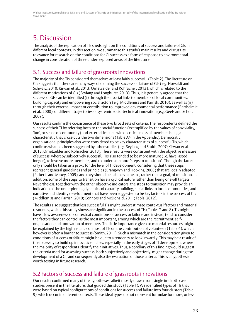## 5. Discussion

The analysis of the replication of TIs sheds light on the conditions of success and failure of GIs in different local contexts. In this section, we summarise this study's main results and discuss its relevance for research on the conditions for GI success as a form of response to environmental change in consideration of three under-explored areas of the literature.

### 5.1. Success and failure of grassroots innovations

The majority of the TIs considered themselves at least fairly successful (Table 2). The literature on GIs suggests that there are many ways of defining the success or failure of GIs (e.g. Howaldt and Schwarz, 2010; Kirwan et al., 2013; Ornetzelder and Rohracher, 2013), which is related to the different motivations of GIs (Seyfang and Longhurst, 2013). Thus, it is generally agreed that the success of GIs can be identified (i) through their social links to members of local communities, building capacity and empowering social actors (e.g. Middlemiss and Parrish, 2010), as well as (ii) through their external impact or contribution to improved environmental performance (Barthelmie et al., 2008), or different trajectories of systemic socio-technical innovation (e.g. Geels and Schot, 2007).

Our results confirm the coexistence of these two broad sets of criteria. The respondents defined the success of their TI by referring both to the social function (exemplified by the values of conviviality, 'fun', or sense of community) and external impact, with a critical mass of members being a characteristic that cross-cuts the two dimensions (Table A4 in the Appendix). Democratic organisational principles also were considered to be key characteristics of successful TIs, which confirms what has been suggested by other studies (e.g. Seyfang and Smith, 2007; Kirwan et al., 2013; Ornetzelder and Rohracher, 2013). These results were consistent with the objective measure of success, whereby subjectively successful TIs also tended to be more mature (i.e. have lasted longer), to involve more members, and to undertake more 'steps to transition'. Though the latter only should be taken as a proxy for the level of TI development, considering that these steps represent general guidelines and principles (Brangwyn and Hopkins, 2008) that are locally adapted (Pickerill and Maxey, 2009), and they should be taken as a means, rather than a goal, of transition. In addition, some of the steps to transition have a cyclical nature rather than being one-off targets. Nevertheless, together with the other objective indicators, the steps to transition may provide an indication of the underpinning dynamics of capacity building, social links to local communities, and narrative and identity development that have been suggested to be key factors in the success of GIs (Middlemiss and Parrish, 2010; Connors and McDonald, 2011; Feola, 2012).

The results also suggest that less successful TIs might underestimate contextual factors and material resources, which this study shows are significant in the success of TIs (Tables 7 and 8). TIs might have a low awareness of contextual conditions of success or failure, and instead, tend to consider the factors they can control as the most important, among which are the recruitment, selforganisation and motivation of members. The little importance given to material resources might be explained by the high reliance of most of TIs on the contribution of volunteers (Table 4), which however is often a barrier to success (Smith, 2011). Such a mismatch in the consideration given to conditions of success or failure might be due to a tendency to look inwardly. This may be a result of the necessity to build up innovative niches, especially in the early stages of TI development where the majority of respondents identify their initiatives. Thus, a corollary of this finding would suggest the criteria used for assessing success, both subjectively and objectively, might change during the development of a GI, and consequently also the evaluation of those criteria. This is a hypothesis worth testing in future research.

### 5.2 Factors of success and failure of grassroots innovations

Our results confirmed many of the hypotheses, albeit mostly drawn from single in-depth case studies present in the literature, that guided this study (Table 1). We identified types of TIs that were based on typical configurations of conditions for success and failure into four clusters (Table 9), which occur in different contexts. These ideal types do not represent formulae for more, or less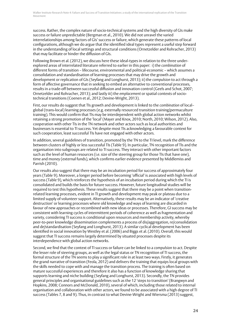success. Rather, the complex nature of socio-technical systems and the high diversity of GIs make success or failure unpredictable (Bergman et al., 2010). We did not unravel the varied interrelationships among factors of GIs' success or failure, which generate these patterns of local configurations, although we do argue that the identified ideal types represent a useful step forward in the understanding of local settings and structural conditions (Ornetzelder and Rohracher, 2013) that may facilitate or hinder the diffusion of GIs.

Following Brown et al. (2012), we discuss here these ideal-types in relation to the three underexplored areas of interrelated literature referred to earlier in this paper: i) the *combination* of different forms of transition – lifecourse, environmental and political-economic – which assumes a consolidation and standardisation of learning processes that may drive the growth and development or replication of GIs (Seyfang and Longhurst, 2013); ii) the *compulsion* to act through a form of affective governance that in seeking to embed an alternative to conventional processes, results in a trade-off between successful diffusion and innovation control (Geels and Schot, 2007; Ornetzelder and Rohracher, 2013); and lastly iii) the *emplacement* or spatial contexts of sociotechnical transitions (Coenen et al., 2012; Devine-Wright, 2013).

First, our results do suggest that TIs growth and development is linked to the *combination* of local– global (trans-local) learning processes (e.g. externally resourced transition training/permaculture training). This would confirm that TIs may be interdependent with global action networks whilst retaining a strong promotion of the 'local' (Mayer and Knox, 2010; North, 2010; Wilson, 2012). Also, cooperation with other TIs in the TN network and other actors such as local authorities and businesses is essential to TI success. Yet despite most TIs acknowledging a favourable context for such cooperation, least successful TIs have not engaged with other actors.

In addition, several guidelines of transition, promoted by the TN to the TI level, mark the difference between clusters of highly or less successful TIs (Table 9). In particular, TN recognition of TIs and the organisation into subgroups are related to TI success. They interact with other important factors such as the level of human resources (i.e. size of the steering group for those TIs that have one), time and money (external funds), which confirms earlier evidence presented by Middlemiss and Parrish (2010).

Our results also suggest that there may be an incubation period for success of approximately four years (Table 9). Moreover, a longer period before becoming 'official' is associated with high levels of success (Table 9), which reinforces the hypothesis of an incubation period during which the TI is consolidated and builds the basis for future success. However, future longitudinal studies will be required to test this hypothesis. These results suggest that there may be a point when transitionrelated learning processes, evident in TI growth and development may peak or plateau due to a limited supply of volunteer support. Alternatively, these results may be an indicator of 'creative destruction' or learning processes where old knowledge and ways of learning are discarded in favour of new approaches or recombined with new ideas or processes. Therefore, GI success may be consistent with learning cycles of intermittent periods of coherence as well as fragmentation and variety, considering TI success is conditional upon resources and membership activity, whereby peer-to-peer knowledge dissemination complements a process of dis/aggregation, re/consolidation and de/standardisation (Seyfang and Longhurst, 2013). A similar cyclical development has been identified in social innovation by Westley et al. (2006) and Biggs et al. (2010). Overall, this would suggest that TI success remains largely determined by situated processes despite its interdependence with global action networks.

Second, we find that the context of TI success or failure can be linked to a *compulsion* to act. Despite the lesser role of steering groups, as well as the legal status or TN recognition of TI success, the formal structure of the TN seems to play a significant role in at least two ways. Firstly, it generates the grand narrative of transition (Feola, 2012) and delivers the training that equips local groups with the skills needed to cope with and manage the transition process. The training is often based on mature successful experiences and therefore it also has a function of knowledge sharing that supports learning and niche building (Seyfang and Longhurst, 2013). Secondly, the TN provides general principles and organisational guidelines such as the 12 'steps to transition' (Brangwyn and Hopkins, 2008; Connors and McDonald, 2010), several of which, including those related to internal organisation and collaboration with other actors, we found to be associated with a high degree of TI success (Tables 7, 8 and 9). Thus, in contrast to what Devine-Wright and Wiersma (2013) suggest,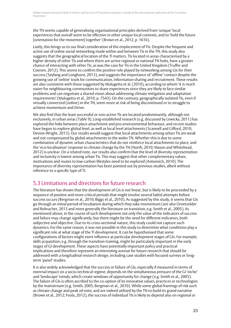the TN seems capable of generalising organisational principles derived from 'unique' local experiences that overall seem to be effective in other unique local contexts, and to 'hold the future [orientation for the movement] together' (Brown et al., 2012, p. 1616).

Lastly, this brings us to our final consideration of the *emplacement* of TIs. Despite the frequent and active use of online social networking made within and between TIs in the TN, this study also suggests that the geographical location of the TI matters. TIs located in areas characterised by a higher density of other TIs and where there are active regional or national TN hubs, have a greater chance of interacting with other TIs, as was the case for TIs in the United Kingdom (Truffer and Coenen, 2012). This seems to confirm the positive role played by networking among GIs for their success (Seyfang and Longhurst, 2013), and suggests the importance of 'offline' contact despite the growing use of 'online' tools for communication, information sharing and recruitment. These results are also consistent with those suggested by Mulugetta et al. (2010), according to whom 'it is much easier for neighbouring communities to share experiences since they are likely to face similar problems and can negotiate a shared vision about addressing climate mitigation and adaptation requirements' (Mulugetta et al., 2010, p. 7543). On the contrary, geographically isolated TIs, even if virtually connected (online) in the TN, seem more at risk of being discontinued or to struggle to achieve momentum and thrive.

We also find that the least successful or non-active TIs are located predominantly, although not exclusively, in urban areas (Table 9). Long-established research (e.g. discussed by Lewicka, 2011) has explored the links between place attachment and pro-environmental behaviour, and recent studies have begun to explore global level, as well as local level attachments (Scannell and Gifford, 2010; Devine-Wright, 2013). Our results would suggest that local attachments among urban TIs are weak and not compensated by global attachments to the wider TN. Whether this is due to some combination of dynamic urban characteristics that do not reinforce local attachments to place, and the 'eco-localisation' response to climate change by the TN (North, 2010; Mason and Whitehead, 2012) is unclear. On a related note, our results also confirm that the level of diversity representation and inclusivity is lowest among urban TIs. This may suggest that other complementary values, motivations and routes to low-carbon lifestyles need to be explored (Antonsich, 2010). The importance of diversity representation has been pointed out by previous studies, albeit without reference to a specific type of TI.

## 5.3 Limitations and directions for future research

The literature has shown that the development of GIs is not linear, but is likely to be proceeded by a sequence of positive and more critical periods that might involve several failed attempts before success occurs (Bergman et al., 2010; Biggs et al., 2010). As suggested by this study, it seems that GIs go through an initial period of incubation during which they take momentum (see also Ornetzelder and Rohracher, 2013 and more generally the literature on transition, e.g. Smith et al., 2005). As mentioned above, in the course of such development not only the value of the indicators of success and failure may change significantly, but there might be the need for different indicators, both subjective and objective. Due to its cross-sectional nature, this study could not capture such dynamics. For the same reason, it was not possible in this study to determine what conditions play a significant role at what stage of the TI development. It can be hypothesised that some configurations of factors might exert influence at particular development stages of GIs. For example, skills acquisition, e.g. through the transition training, might be particularly important in the early stages of GI development. These aspects have potentially important policy and practical implications and therefore represent an interesting avenue for future research that should be addressed with a longitudinal research design, including case studies with focused surveys or longterm 'panel' studies.

It is also widely acknowledged that the success or failure of GIs, especially if measured in terms of external impact on a socio-technical regime, depends on the simultaneous pressure of the GI 'niche' and 'landscape' trends, which create windows of opportunity for change (e.g. Smith et al., 2005). The failure of GIs is often ascribed to the co-option of its innovative values, practices or technologies by the mainstream (e.g. Smith, 2005; Bergman et al., 2010). While some global framings of risk such as climate change and peak oil exist, and are indeed utilised by the TN to build its grand narrative (Brown et al., 2012; Feola, 2012), the success of individual TIs is likely to depend also on regional or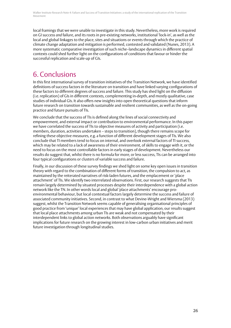local framings that we were unable to investigate in this study. Nevertheless, more work is required on GI success *and* failure, and its roots in pre-existing networks, institutional 'lock-in', as well as the local and global linkages to the place, sites and situations or events through which the practice of climate change adaptation and mitigation is performed, contested and validated (Nunes, 2013). A more systematic comparative investigation of such niche–landscape dynamics in different spatial contexts could shed further light on the configurations of conditions that favour or hinder the successful replication and scale-up of GIs.

## 6. Conclusions

In this first international survey of transition initiatives of the Transition Network, we have identified definitions of success factors in the literature on transition and have linked varying configurations of these factors to different degrees of success and failure. This study has shed light on the diffusion (i.e. replication) of GIs in different contexts, complementing in-depth, and mostly qualitative, case studies of individual GIs. It also offers new insights into open theoretical questions that inform future research on transition towards sustainable and resilient communities, as well as the on-going practice and future pursuits of TIs.

We conclude that the success of TIs is defined along the lines of social connectivity and empowerment, and external impact or contribution to environmental performance. In this paper we have correlated the success of TIs to objective measures of activity and participation (i.e. members, duration, activities undertaken – steps to transition), though there remains scope for refining these objective measures, e.g. a function of different development stages of TIs. We also conclude that TI members tend to focus on internal, and overlook external factors of TI success, which may be related to a lack of awareness of their environment, of skills to engage with it, or the need to focus on the most controllable factors in early stages of development. Nevertheless our results do suggest that, whilst there is no formula for more, or less success, TIs can be arranged into four typical configurations or clusters of variable success and failure.

Finally, in our discussion of these survey findings we shed light on some key open issues in transition theory with regard to the combination of different forms of transition, the compulsion to act, as maintained by the reiterated narratives of risk-laden futures, and the emplacement or 'place attachment' of TIs. We identify two interrelated observations. First, our research suggests that TIs remain largely determined by situated processes despite their interdependence with a global action network like the TN. In other words local and global 'place attachments' encourage proenvironmental behaviour, but local contextual factors largely determine the success and failure of associated community initiatives. Second, in contrast to what Devine-Wright and Wiersma (2013) suggest, whilst the Transition Network seems capable of generalising organisational principles of good practice from 'unique' local experiences that may have global application, our results suggest that local place attachments among urban TIs are weak and not compensated by their interdependent links to global action networks. Both observations arguably have significant implications for future research on the growing interest in low-carbon urban initiatives and merit future investigation through longitudinal studies.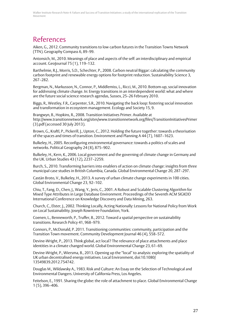## References

Aiken, G., 2012. Community transitions to low carbon futures in the Transition Towns Network (TTN). Geography Compass 6, 89–99.

Antonsich, M., 2010. Meanings of place and aspects of the self: an interdisciplinary and empirical account. GeoJournal 75 (1), 119–132.

Barthelmie, R.J., Morris, S.D., Schechter, P., 2008. Carbon neutral Biggar: calculating the community carbon footprint and renewable energy options for footprint reduction. Sustainability Science 3, 267–282.

Bergman, N., Markusson, N., Connor, P., Middlemiss, L., Ricci, M., 2010. Bottom-up, social innovation for addressing climate change. In: Energy transitions in an interdependent world: what and where are the future social science research agendas, Sussex, 25–26 February 2010.

Biggs, R., Westley, F.R., Carpenter, S.R., 2010. Navigating the back loop: fostering social innovation and transformation in ecosystem management. Ecology and Society 15, 9.

Brangwyn, B., Hopkins, R., 2008. Transition Initiatives Primer. Available at http://www.transitionnetwork.org/sites/www.transitionnetwork.org/files/TransitionInitiativesPrimer (3).pdf (accessed 30 July 2013).

Brown, G., Kraftl, P., Pickerill, J., Upton, C., 2012. Holding the future together: towards a theorisation of the spaces and times of transition. Environment and Planning A 44 (7), 1607–1623.

Bulkeley, H., 2005. Reconfiguring environmental governance: towards a politics of scales and networks. Political Geography 24 (8), 875–902.

Bulkeley, H., Kern, K., 2006. Local government and the governing of climate change in Germany and the UK. Urban Studies 43 (12), 2237–2259.

Burch, S., 2010. Transforming barriers into enablers of action on climate change: insights from three municipal case studies in British Columbia, Canada. Global Environmental Change 20, 287–297.

Castán Broto, V., Bulkeley, H., 2013. A survey of urban climate change experiments in 100 cities. Global Environmental Change 23, 92–102.

Chiu, T., Fang, D., Chen, J., Wang, Y., Jeris, C., 2001. A Robust and Scalable Clustering Algorithm for Mixed Type Attributes in Large Database Environment. Proceedings of the Seventh ACM SIGKDD International Conference on Knowledge Discovery and Data Mining, 263.

Church, C., Elster, J., 2002. Thinking Locally, Acting Nationally: Lessons for National Policy from Work on Local Sustainability. Joseph Rowntree Foundation, York.

Coenen, L., Benneworth, P., Truffer, B., 2012. Toward a spatial perspective on sustainability transitions. Research Policy 41, 968–979.

Connors, P., McDonald, P. 2011. Transitioning communities: community, participation and the Transition Town movement. Community Development Journal 46 (4), 558–572.

Devine-Wright, P., 2013. Think global, act local? The relevance of place attachments and place identities in a climate changed world. Global Environmental Change 23, 61–69.

Devine-Wright, P., Wiersma, B., 2013. Opening up the "local" to analysis: exploring the spatiality of UK urban decentralised energy initiatives. Local Environment, doi:10.1080/ 13549839.2012.754742.

Douglas M., Wildawsky A., 1983. Risk and Culture: An Essay on the Selection of Technological and Environmental Dangers. University of California Press, Los Angeles.

Feitelson, E., 1991. Sharing the globe: the role of attachment to place. Global Environmental Change 1 (5), 396–406.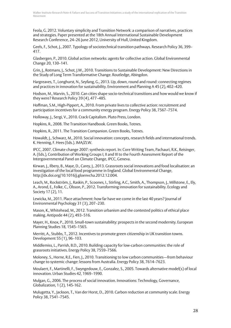Feola, G. 2012. Voluntary simplicity and Transition Network: a comparison of narratives, practices and strategies. Paper presented at the 18th Annual International Sustainable Development Research Conference, 24-26 June 2012, University of Hull, United Kingdom.

Geels, F., Schot, J., 2007. Typology of sociotechnical transition pathways. Research Policy 36, 399– 417.

Glasbergen, P., 2010. Global action networks: agents for collective action. Global Environmental Change 20, 130–141.

Grin, J., Rotmans, J., Schot, J.W., 2010. Transitions to Sustainable Development: New Directions in the Study of Long Term Transformative Change. Routledge, Abingdon.

Hargreaves, T., Longhurst, N., Seyfang, G., 2013. Up, down, round and round: connecting regimes and practices in innovation for sustainability. Environment and Planning A 45 (2), 402–420.

Hodson, M., Marvin, S., 2010. Can cities shape socio-technical transitions and how would we know if they were? Research Policy 39 (4), 477–485.

Hoffman, S.M., High-Pippert, A., 2010. From private lives to collective action: recruitment and participation incentives for a community energy program. Energy Policy 38, 7567–7574.

Holloway, J., Sergi, V., 2010. Crack Capitalism. Pluto Press, London.

Hopkins, R., 2008. The Transition Handbook. Green Books, Totnes.

Hopkins, R., 2011. The Transition Companion. Green Books, Totnes.

Howaldt, J., Schwarz, M., 2010. Social innovation: concepts, research fields and international trends. K. Henning, F. Hees (Eds.). IMA/ZLW.

IPCC, 2007. Climate change 2007: synthesis report. In: Core Writing Team, Pachauri, R.K., Reisinger, A. (Eds.), Contribution of Working Groups I, II and III to the Fourth Assessment Report of the Intergovernmental Panel on Climate Change, IPCC, Geneva.

Kirwan, J., Ilbery, B., Maye, D., Carey, J., 2013. Grassroots social innovations and food localisation: an investigation of the local food programme in England. Global Environmental Change, http://dx.doi.org/10.1016/j.gloenvcha.2012.12.004.

Leach, M., Rockström, J., Raskin, P., Scoones, I., Stirling, A.C., Smith, A., Thompson, J., Millstone, E., Ely, A., Arond, E., Folke, C., Olsson, P., 2012. Transforming innovation for sustainability. Ecology and Society 17 (2), 11.

Lewicka, M., 2011. Place attachment: how far have we come in the last 40 years? Journal of Environmental Psychology 31 (3), 207–230.

Mason, K., Whitehead, M., 2012. Transition urbanism and the contested politics of ethical place making. Antipode 44 (2), 493–516.

Mayer, H., Knox, P., 2010. Small-town sustainability: prospects in the second modernity. European Planning Studies 18, 1545–1565.

Merritt, A., Stubbs, T., 2012. Incentives to promote green citizenship in UK transition towns. Development 55 (1), 96–103.

Middlemiss, L., Parrish, B.D., 2010. Building capacity for low-carbon communities: the role of grassroots initiatives. Energy Policy 38, 7559–7566.

Moloney, S., Horne, R.E., Fien, J., 2010. Transitioning to low carbon communities—from behaviour change to systemic change: lessons from Australia. Energy Policy 38, 7614–7623.

Moulaert, F., Martinelli, F., Swyngedouw, E., Gonzalez, S., 2005. Towards alternative model(s) of local innovation. Urban Studies 42, 1969–1990.

Mulgan, G., 2006. The process of social innovation. Innovations: Technology, Governance, Globalization, 1 (2), 145-162.

Mulugetta, Y., Jackson, T., Van der Horst, D., 2010. Carbon reduction at community scale. Energy Policy 38, 7541–7545.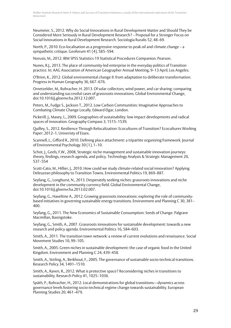Neumeier, S., 2012. Why do Social Innovations in Rural Development Matter and Should They be Considered More Seriously in Rural Development Research? – Proposal for a Stronger Focus on Social Innovations in Rural Development Research. Sociologia Ruralis 52, 48–69.

North, P., 2010. Eco-localisation as a progressive response to peak oil and climate change – a sympathetic critique. Geoforum 41 (4), 585–594.

Norusis, M., 2012. IBM SPSS Statistics 19 Statistical Procedures Companion. Pearson.

Nunes, R.J., 2013. The place of community-led enterprise in the everyday politics of Transition practice. In: AAG Association of American Geographer Annual Meeting, 9–13 April, Los Angeles.

O'Brien, K., 2012. Global environmental change II: from adaptation to deliberate transformation. Progress in Human Geography 36, 667–676.

Ornetzelder, M., Rohracher, H. 2013. Of solar collectors, wind power, and car sharing: comparing and understanding successful cases of grassroots innovations. Global Environmental Change, doi:10.1016/j.gloenvcha.2012.12.007.

Peters, M., Fudge S., Jackson T., 2012. Low Carbon Communities: Imaginative Approaches to Combating Climate Change Locally. Edward Elgar, London.

Pickerill, J., Maxey, L., 2009. Geographies of sustainability: low impact developments and radical spaces of innovation. Geography Compass 3, 1515–1539.

Quilley, S., 2012. Resilience Through Relocalization: Ecocultures of Transition? Ecocultures Working Paper: 2012–1, Univeristy of Essex.

Scannell, L., Gifford R., 2010. Defining place attachment: a tripartite organizing framework. Journal of Environmental Psychology 30 (1), 1–10.

Schot, J., Geels, F.W., 2008, Strategic niche management and sustainable innovation journeys: theory, findings, research agenda, and policy. Technology Analysis & Strategic Management 20, 537–554

Scott-Cato, M., Hillier, J., 2010. How could we study climate-related social innovation? Applying Deleuzean philosophy to Transition Towns. Environmental Politics 19, 869–887.

Seyfang, G., Longhurst, N., 2013. Desperately seeking niches: grassroots innovations and niche development in the community currency field. Global Environmental Change, doi:10.1016/j.gloenvcha.2013.02.007.

Seyfang, G., Haxeltine A., 2012. Growing grassroots innovations: exploring the role of communitybased initiatives in governing sustainable energy transitions. Environment and Planning C 30, 381– 400.

Seyfang, G., 2011. The New Economics of Sustainable Consumption: Seeds of Change. Palgrave Macmillan, Basingstoke.

Seyfang, G., Smith, A., 2007. Grassroots innovations for sustainable development: towards a new research and policy agenda. Environmental Politics 16, 584–603.

Smith, A., 2011. The transition town network: a review of current evolutions and renaissance. Social Movement Studies 10, 99–105.

Smith, A., 2005. Green niches in sustainable development: the case of organic food in the United Kingdom. Environment and Planning C 24, 439–458.

Smith, A., Stirling, A., Berkhout, F., 2005. The governance of sustainable socio-technical transitions. Research Policy 34, 1491–1510.

Smith, A., Raven, R., 2012. What is protective space? Reconsidering niches in transitions to sustainability. Research Policy 41, 1025–1036.

Späth, P., Rohracher, H., 2012. Local demonstrations for global transitions—dynamics across governance levels fostering socio-technical regime change towards sustainability. European Planning Studies 20, 461–479.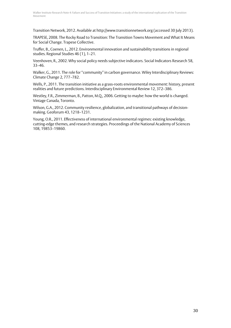Transition Network, 2012. Available at http://www.transitionnetwork.org (accessed 30 July 2013).

TRAPESE, 2008. The Rocky Road to Transition: The Transition Towns Movement and What It Means for Social Change. Trapese Collective.

Truffer, B., Coenen, L., 2012. Environmental innovation and sustainability transitions in regional studies. Regional Studies 46 (1), 1–21.

Veenhoven, R., 2002. Why social policy needs subjective indicators. Social Indicators Research 58, 33–46.

Walker, G., 2011. The role for "community" in carbon governance. Wiley Interdisciplinary Reviews: Climate Change 2, 777–782.

Wells, P., 2011. The transition initiative as a grass-roots environmental movement: history, present realities and future predictions. Interdisciplinary Environmental Review 12, 372–386.

Westley, F.R., Zimmerman, B., Patton, M.Q., 2006. Getting to maybe: how the world is changed. Vintage Canada, Toronto.

Wilson, G.A., 2012. Community resilience, globalization, and transitional pathways of decisionmaking. Geoforum 43, 1218–1231.

Young, O.R., 2011. Effectiveness of international environmental regimes: existing knowledge, cutting-edge themes, and research strategies. Proceedings of the National Academy of Sciences 108, 19853–19860.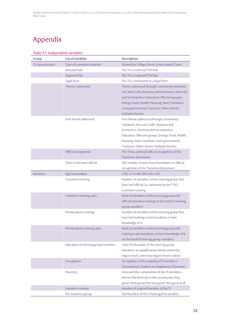## Appendix

| Group              | <b>List of variables</b>            | <b>Description</b>                                                                                                                                                                                                                                                                 |
|--------------------|-------------------------------------|------------------------------------------------------------------------------------------------------------------------------------------------------------------------------------------------------------------------------------------------------------------------------------|
| TI characteristics | Type of transition initiative       | Urban/city; Village; Rural; Forest; Island; Town                                                                                                                                                                                                                                   |
|                    | National hub                        | The TI is a national TTN hub                                                                                                                                                                                                                                                       |
|                    | Regional hub                        | The TI is a regional TTN hub                                                                                                                                                                                                                                                       |
|                    | Legal form                          | The TI is constituted in a legal form                                                                                                                                                                                                                                              |
|                    | Themes addressed                    | Theme addressed through community initiatives:<br>Arts and Crafts; Business and Economics; Diversity<br>and Social Justice; Education; Effective groups;<br>Energy; Food; Health; Housing; Inner transition;<br>Locla government; Transport; Other theme;<br>Multiple themes       |
|                    | First theme addressed               | First theme addressed through community<br>initiatives: Arts and Crafts; Business and<br>Economics; Diversity and Social Justice;<br>Education; Effective groups; Energy; Food; Health;<br>Housing; Inner transition; Locla government;<br>Transport; Other theme; Multiple themes |
|                    | Official recognition                | The TI has achieved official recognition of the<br><b>Transition Movement</b>                                                                                                                                                                                                      |
|                    | Years to become official            | The number of years from foundation to official<br>recognition of the Transition Movement                                                                                                                                                                                          |
| <b>Members</b>     | Age of members                      | $<$ 30; 31 $<$ >49; 50 $<$ 65; >65                                                                                                                                                                                                                                                 |
|                    | <b>Transition training</b>          | Number of members of the steering group that<br>have had official (i.e. delivered by the TTN)<br>transition training                                                                                                                                                               |
|                    | Transition training ratio           | Ratio of members of the steering group with<br>official transition training on the total of steering<br>group members                                                                                                                                                              |
|                    | Permaculture training               | Number of members of the steering group that<br>have had training in permaculture or have<br>knowledge of it                                                                                                                                                                       |
|                    | Permaculture training ratio         | Ratio of members of the steering group with<br>training in permaculture or have knowledge of it<br>on the total of steering group members                                                                                                                                          |
|                    | Education of steering group members | Level of education of the steering group<br>members: no qualification; below university<br>degree level; university degree level or above                                                                                                                                          |
|                    | Occupation                          | Occupation of the majority of TI members:<br>Unemployed, Student; In emplyment; Pensioner                                                                                                                                                                                          |
|                    | Diversity                           | How well the composition of the TI members<br>mirrors the diversity in the community: Very<br>good; Fairly good, Not very good, Not good at all                                                                                                                                    |
|                    | Founders number                     | Number of original founders of the TI                                                                                                                                                                                                                                              |
|                    | Pre-existence group                 | The founders of the TI belonged to another                                                                                                                                                                                                                                         |

#### *Table A1. Independent variables.*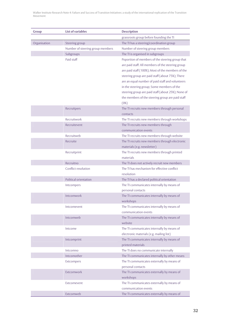| Group        | <b>List of variables</b>         | <b>Description</b>                                                                                     |
|--------------|----------------------------------|--------------------------------------------------------------------------------------------------------|
|              |                                  | grassroots group before founding the TI                                                                |
| Organisation | Steering group                   | The TI has a steering/coordination group                                                               |
|              | Number of steering group members | Number of steering group members                                                                       |
|              | Subgroups                        | The TI is organised in subgroups                                                                       |
|              | Paid staff                       | Poportion of members of the steering group that                                                        |
|              |                                  | are paid staff: All members of the steering group                                                      |
|              |                                  | are paid staff (100%); Most of the members of the                                                      |
|              |                                  | steering group are paid staff (about 75%); There                                                       |
|              |                                  | are an equal number of paid staff and volunteers                                                       |
|              |                                  | in the steering group; Some members of the                                                             |
|              |                                  | steering group are paid staff (about 25%); None of<br>the members of the steering group are paid staff |
|              |                                  | (0%)                                                                                                   |
|              | Recruitpers                      | The TI recruits new members through personal                                                           |
|              |                                  | contacts                                                                                               |
|              | Recruitwork                      | The TI recruits new members through workshops                                                          |
|              | Recruitevent                     | The TI recruits new members through                                                                    |
|              |                                  | communication events                                                                                   |
|              | Recruitweb                       | The TI recruits new members through website                                                            |
|              | Recruite                         | The TI recruits new members through electronic                                                         |
|              |                                  | materials (e.g. newsletter)                                                                            |
|              | Recruitprint                     | The TI recruits new members through printed                                                            |
|              |                                  | materials                                                                                              |
|              | Recruitno<br>Conflict resolution | The TI does not actively recruit new members<br>The TI has mechanism for effective conflict            |
|              |                                  | resolution                                                                                             |
|              | Political orientation            | The TI has a declared political orientation                                                            |
|              | Intcompers                       | The TI communicates internally by means of                                                             |
|              |                                  | personal contacts                                                                                      |
|              | Intcomwork                       | The TI communicates internally by means of                                                             |
|              |                                  | workshops                                                                                              |
|              | Intcomevent                      | The TI communicates internally by means of                                                             |
|              | Intcomweb                        | communication events<br>The TI communicates internally by means of                                     |
|              |                                  | website                                                                                                |
|              | Intcome                          | The TI communicates internally by means of                                                             |
|              |                                  | electronic materials (e.g. mailing list)                                                               |
|              | Intcomprint                      | The TI communicates internally by means of                                                             |
|              |                                  | printed materials                                                                                      |
|              | Intcomno                         | The TI does no communicate internally                                                                  |
|              | Intcomother                      | The TI communicates internally by other means                                                          |
|              | <b>Extcompers</b>                | The TI communicates externally by means of                                                             |
|              |                                  | personal contacts                                                                                      |
|              | Extcomwork                       | The TI communicates externally by means of                                                             |
|              | Extcomevent                      | workshops<br>The TI communicates externally by means of                                                |
|              |                                  | communication events                                                                                   |
|              | Extcomweb                        | The TI communicates externally by means of                                                             |
|              |                                  |                                                                                                        |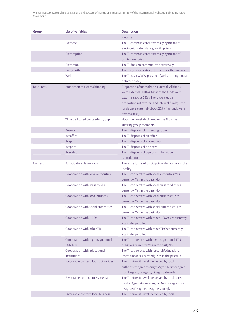| <b>Group</b> | <b>List of variables</b>              | <b>Description</b>                                 |
|--------------|---------------------------------------|----------------------------------------------------|
|              |                                       | website                                            |
|              | Extcome                               | The TI communicates externally by means of         |
|              |                                       | electronic materials (e.g. mailing list)           |
|              | Extcomprint                           | The TI communicates externally by means of         |
|              |                                       | printed materials                                  |
|              | Extcomno                              | The TI does no communicate externally              |
|              | Extcomother                           | The TI communicates externally by other means      |
|              | Web                                   | The TI has a WWW presence (website, blog, social   |
|              |                                       | network page)                                      |
| Resources    | Proportion of external funding        | Proportion of funds that is external: All funds    |
|              |                                       | were external (100%); Most of the funds were       |
|              |                                       | external (about 75%); There were equal             |
|              |                                       | proportions of external and internal funds; Little |
|              |                                       | funds were external (about 25%); No funds were     |
|              |                                       | external (0%)                                      |
|              | Time dedicated by steering group      | Hours per week dedicated to the TI by the          |
|              |                                       | steering group members                             |
|              | Resroom                               | The TI disposes of a meeting room                  |
|              | Resoffice                             | The TI disposes of an office                       |
|              | Respc                                 | The TI disposes of a computer                      |
|              | Resprint                              | The TI disposes of a printer                       |
|              | Resvideo                              | The TI disposes of equipment for video             |
|              |                                       | reproduction                                       |
| Context      | Participatory democracy               | There are forms of participatory democracy in the  |
|              |                                       | locality                                           |
|              | Cooperation with local authorities    | The TI cooperates with local authorities: Yes      |
|              |                                       | currently; Yes in the past; No                     |
|              | Cooperation with mass media           | The TI cooperates with local mass media: Yes       |
|              |                                       | currently; Yes in the past; No                     |
|              | Cooperation with local business       | The TI cooperates with local businesses: Yes       |
|              |                                       | currently; Yes in the past; No                     |
|              | Cooperation with social enterprises   | The TI cooperates with social enterprises: Yes     |
|              |                                       | currently; Yes in the past; No                     |
|              | Cooperation with NGOs                 | The TI cooperates with other NOGs: Yes currently;  |
|              |                                       | Yes in the past; No                                |
|              | Cooperation with other TIs            | The TI cooperates with other TIs: Yes currently;   |
|              |                                       | Yes in the past; No                                |
|              | Cooperation with regional/national    | The TI cooperates with regional/national TTN       |
|              | <b>TNN hub</b>                        | hubs: Yes currently; Yes in the past; No           |
|              | Cooperation with educational          | The TI cooperates with research/educational        |
|              | institutions                          | institutions: Yes currently; Yes in the past; No   |
|              | Favourable context: local authorities | The TI thinks it is well perceived by local        |
|              |                                       | authorities: Agree strongly; Agree, Neither agree  |
|              |                                       | nor disagree; Disagree; Disagree strongly          |
|              | Favourable context: mass media        | The TI thinks it is well perceived by local mass   |
|              |                                       | media: Agree strongly; Agree, Neither agree nor    |
|              |                                       | disagree; Disagree; Disagree strongly              |
|              | Favourable context: local business    | The TI thinks it is well perceived by local        |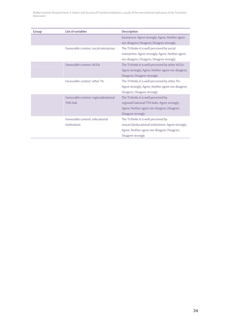| <b>Group</b> | <b>List of variables</b>               | <b>Description</b>                                 |
|--------------|----------------------------------------|----------------------------------------------------|
|              |                                        | businesses: Agree strongly; Agree, Neither agree   |
|              |                                        | nor disagree; Disagree; Disagree strongly          |
|              | Favourable context: social enterprises | The TI thinks it is well perceived by social       |
|              |                                        | enterprises: Agree strongly; Agree, Neither agree  |
|              |                                        | nor disagree; Disagree; Disagree strongly          |
|              | Favourable context: NGOs               | The TI thinks it is well perceived by other NGOs:  |
|              |                                        | Agree strongly; Agree, Neither agree nor disagree; |
|              |                                        | Disagree; Disagree strongly                        |
|              | Eavourable context: other TIs          | The TI thinks it is well perceived by other TIs:   |
|              |                                        | Agree strongly; Agree, Neither agree nor disagree; |
|              |                                        | Disagree; Disagree strongly                        |
|              | Favourable context: regional/national  | The TI thinks it is well perceived by              |
|              | <b>TNN hub</b>                         | regional?national TTN hubs: Agree strongly;        |
|              |                                        | Agree, Neither agree nor disagree; Disagree;       |
|              |                                        | Disagree strongly                                  |
|              | Favourable context: educational        | The TI thinks it is well perceived by              |
|              | institutions                           | research/educational institutions: Agree strongly; |
|              |                                        | Agree, Neither agree nor disagree; Disagree;       |
|              |                                        | Disagree strongly                                  |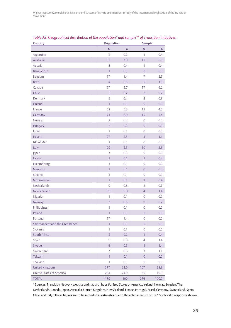| <b>Country</b>                   | <b>Population</b> |         | <b>Sample</b>    |       |  |
|----------------------------------|-------------------|---------|------------------|-------|--|
|                                  | $\mathsf{N}$      | $\%$    | N                | %     |  |
| Argentina                        | $\overline{2}$    | 0.2     | $\mathbf{1}$     | 0.4   |  |
| Australia                        | 82                | 7.0     | 18               | 6.5   |  |
| Austria                          | 5                 | 0.4     | 1                | 0.4   |  |
| Bangladesh                       | $\overline{1}$    | 0.1     | $\overline{0}$   | 0.0   |  |
| Belgium                          | 17                | 1.4     | $\overline{7}$   | 2.5   |  |
| <b>Brazil</b>                    | $\overline{4}$    | 0.3     | 5                | 1.8   |  |
| Canada                           | 67                | 5.7     | 17               | 6.2   |  |
| Chile                            | $\overline{2}$    | 0.2     | $\overline{2}$   | 0.7   |  |
| Denmark                          | 5                 | 0.4     | $\overline{2}$   | 0.7   |  |
| Finland                          | $\overline{1}$    | 0.1     | $\overline{0}$   | 0.0   |  |
| France                           | 62                | 5.3     | 11               | 4.0   |  |
| Germany                          | 71                | 6.0     | 15               | 5.4   |  |
| Greece                           | $\overline{2}$    | 0.2     | $\overline{0}$   | 0.0   |  |
| Hungary                          | $\overline{2}$    | 0.2     | $\overline{0}$   | 0.0   |  |
| India                            | 1                 | 0.1     | $\overline{0}$   | 0.0   |  |
| Ireland                          | 27                | 2.3     | $\overline{3}$   | 1.1   |  |
| Isle of Man                      | $\mathbf{1}$      | 0.1     | $\overline{0}$   | 0.0   |  |
| Italy                            | 29                | 2.5     | 10               | 3.6   |  |
| Japan                            | 3                 | 0.3     | $\overline{0}$   | 0.0   |  |
| Latvia                           | $\mathbf{1}$      | 0.1     | $\mathbf{1}$     | 0.4   |  |
| Luxembourg                       | 1                 | 0.1     | $\overline{0}$   | 0.0   |  |
| Mauritius                        | $\overline{1}$    | 0.1     | $\overline{0}$   | 0.0   |  |
| Mexico                           | $\mathbf{1}$      | 0.1     | $\overline{0}$   | 0.0   |  |
| Mozambique                       | $\mathbf{1}$      | 0.1     | $\mathbf{1}$     | 0.4   |  |
| Netherlands                      | $\overline{9}$    | 0.8     | $\overline{2}$   | 0.7   |  |
| New Zealand                      | 59                | 5.0     | $\overline{4}$   | 1.4   |  |
| Nigeria                          | 1                 | 0.1     | $\mathbf{0}$     | 0.0   |  |
| Norway                           | $\overline{3}$    | 0.3     | $\overline{2}$   | 0.7   |  |
| Philippines                      | 1                 | 0.1     | $\mathbf{0}$     | 0.0   |  |
| Poland                           | $\mathbf{1}$      | 0.1     | $\boldsymbol{0}$ | 0.0   |  |
| Portugal                         | 17                | 1.4     | 0                | 0.0   |  |
| Saint Vincent and the Grenadines | $\mathbf{1}$      | 0.1     | $\overline{0}$   | 0.0   |  |
| Slovenia                         | 1                 | 0.1     | 0                | 0.0   |  |
| South Africa                     | $\overline{2}$    | 0.2     | $\mathbf{1}$     | 0.4   |  |
| Spain                            | $9\,$             | 0.8     | $\overline{4}$   | 1.4   |  |
| Sweden                           | 6                 | 0.5     | $\overline{4}$   | 1.4   |  |
| Switzerland                      | $\overline{7}$    | 0.6     | 3                | 1.1   |  |
| Taiwan                           | $\mathbf{1}$      | 0.1     | $\overline{0}$   | 0.0   |  |
| Thailand                         | 1                 | 0.1     | $\mathbf{0}$     | 0.0   |  |
| United Kingdom                   | 377               | 32.0    | 107              | 38.8  |  |
| United States of America         | 294               | 24.9    | 55               | 19.9  |  |
| <b>TOTAL</b>                     | 1179              | $100\,$ | 276              | 100.0 |  |

*Table A2. Geographical distribution of the population\* and sample\*\* of Transition Initiatives.*

\* Sources: Transition Network website and national hubs (United States of America, Ireland, Norway, Sweden, The Netherlands, Canada, Japan, Australia, United Kingdom, New Zealand, France, Portugal, Brazil, Germany, Switzerland, Spain, Chile, and Italy). These figures are to be intended as estimates due to the volatile nature of TIs. \*\* Only valid responses shown.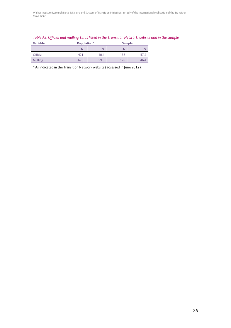| Table A3. Official and mulling TIs as listed in the Transition Network website and in the sample. |  |
|---------------------------------------------------------------------------------------------------|--|
|---------------------------------------------------------------------------------------------------|--|

| <b>Variable</b> | Population* |     | Sample |      |  |
|-----------------|-------------|-----|--------|------|--|
|                 |             | %   |        | %    |  |
| Official        | 421         | 404 | 158    | 57.2 |  |
| Mulling         | 620         | 596 | 128    | 46.4 |  |

\* As indicated in the Transition Network website (accessed in June 2012).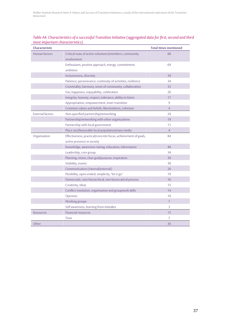| <b>Characteristic</b>   |                                                                | <b>Total times mentioned</b> |
|-------------------------|----------------------------------------------------------------|------------------------------|
| Human factors           | Critical mass of active volunteers/members, community          | 88                           |
|                         | involvement                                                    |                              |
|                         | Enthusiasm, positive approach, energy, commitment,             | 69                           |
|                         | ambition                                                       |                              |
|                         | Inclusiveness, diversity                                       | 39                           |
|                         | Patience, perseverance, continuity of activities, resilience   | 34                           |
|                         | Conviviality, harmony, sense of community, collaboration       | 32                           |
|                         | Fun, happiness, enjoyability, celebration                      | 26                           |
|                         | Integrity, honesty, respect, tolerance, ability to listen      | 17                           |
|                         | Appropriation, empowerment, inner transition                   | 9                            |
|                         | Common values and beliefs, likemindness, cohesion              | $\overline{4}$               |
| <b>External factors</b> | Non-specified partnership/networking                           | 24                           |
|                         | Partnership/networking with other organizations                | 18                           |
|                         | Partnership with local government                              | 11                           |
|                         | Place size/favourable local population/mass media              | $\overline{4}$               |
| Organisation            | Effectiveness, practical/concrete focus, achievement of goals, | 84                           |
|                         | active presence in society                                     |                              |
|                         | Knowledge, awareness raising, education, information           | 46                           |
|                         | Leadership, core group                                         | 34                           |
|                         | Planning, vision, clear goal/purpose, inspiration              | 30                           |
|                         | Visibility, events                                             | 30                           |
|                         | Communication (internal/external)                              | 26                           |
|                         | Flexibility, open-ended, simplicity, "let it go"               | 19                           |
|                         | Democratic, non-hierarchical, non-burocratical process         | 16                           |
|                         | Creativity, ideas                                              | 15                           |
|                         | Conflict resolution, organisation and groupwork skills         | 14                           |
|                         | Opennes                                                        | 10                           |
|                         | Working groups                                                 | $\overline{7}$               |
|                         | Self awareness, learning from mistakes                         | 3                            |
| Resources               | <b>Financial resources</b>                                     | 15                           |
|                         | Time                                                           | 7                            |
| Other                   |                                                                | 36                           |

#### *Table A4. Characteristics of a successful Transition Initiative (aggregated data for first, second and third most important characteristics).*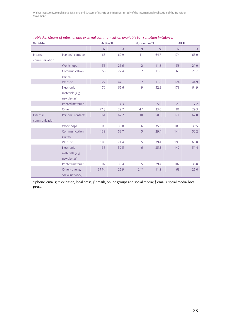| <b>Variable</b>           |                                              | <b>Active TI</b><br><b>Non-active TI</b> |      |                | All TI |              |      |
|---------------------------|----------------------------------------------|------------------------------------------|------|----------------|--------|--------------|------|
|                           |                                              | $\mathsf{N}$                             | $\%$ | $\mathsf{N}$   | %      | $\mathsf{N}$ | $\%$ |
| Internal<br>communication | Personal contacts                            | 163                                      | 62.9 | 11             | 64.7   | 174          | 63.0 |
|                           | Workshops                                    | 56                                       | 21.6 | $\overline{2}$ | 11.8   | 58           | 21.0 |
|                           | Communication<br>events                      | 58                                       | 22.4 | $\overline{2}$ | 11.8   | 60           | 21.7 |
|                           | Website                                      | 122                                      | 47.1 | $\overline{2}$ | 11.8   | 124          | 44.9 |
|                           | Electronic<br>materials (e.g.<br>newsletter) | 170                                      | 65.6 | $\overline{9}$ | 52.9   | 179          | 64.9 |
|                           | Printed materials                            | 19                                       | 7.3  | $\mathbf{1}$   | 5.9    | 20           | 7.2  |
|                           | Other                                        | $77\$                                    | 29.7 | $4*$           | 23.6   | 81           | 29.3 |
| External<br>communication | Personal contacts                            | 161                                      | 62.2 | 10             | 58.8   | 171          | 62.0 |
|                           | Workshops                                    | 103                                      | 39.8 | 6              | 35.3   | 109          | 39.5 |
|                           | Communication<br>events                      | 139                                      | 53.7 | 5              | 29.4   | 144          | 52.2 |
|                           | Website                                      | 185                                      | 71.4 | 5              | 29.4   | 190          | 68.8 |
|                           | Electronic<br>materials (e.g.<br>newsletter) | 136                                      | 52.5 | 6              | 35.5   | 142          | 51.4 |
|                           | Printed materials                            | 102                                      | 39.4 | 5              | 29.4   | 107          | 38.8 |
|                           | Other (phone,<br>social network)             | $67\,\S\$                                | 25.9 | $2**$          | 11.8   | 69           | 25.0 |

#### *Table A5. Means of internal and external communication available to Transition Initatives.*

\* phone, emails; \*\* exibition, local press; § emails, online groups and social media; § emails, social media, local press.